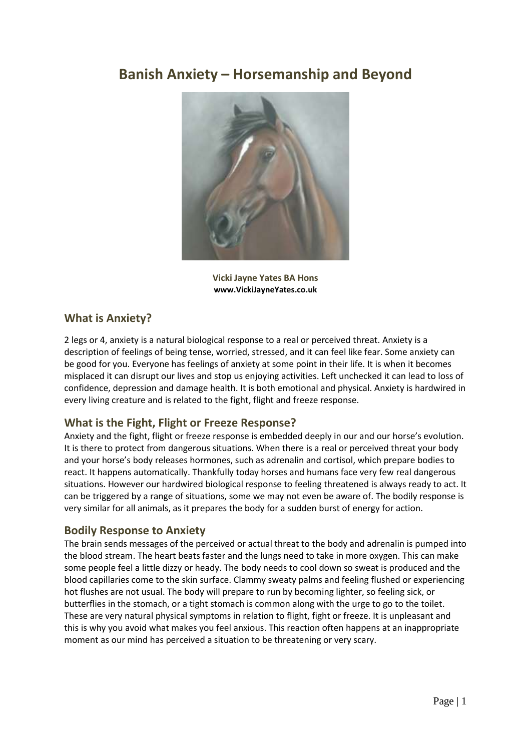# **Banish Anxiety – Horsemanship and Beyond**



**Vicki Jayne Yates BA Hons www.VickiJayneYates.co.uk** 

## **What is Anxiety?**

2 legs or 4, anxiety is a natural biological response to a real or perceived threat. Anxiety is a description of feelings of being tense, worried, stressed, and it can feel like fear. Some anxiety can be good for you. Everyone has feelings of anxiety at some point in their life. It is when it becomes misplaced it can disrupt our lives and stop us enjoying activities. Left unchecked it can lead to loss of confidence, depression and damage health. It is both emotional and physical. Anxiety is hardwired in every living creature and is related to the fight, flight and freeze response.

# **What is the Fight, Flight or Freeze Response?**

Anxiety and the fight, flight or freeze response is embedded deeply in our and our horse's evolution. It is there to protect from dangerous situations. When there is a real or perceived threat your body and your horse's body releases hormones, such as adrenalin and cortisol, which prepare bodies to react. It happens automatically. Thankfully today horses and humans face very few real dangerous situations. However our hardwired biological response to feeling threatened is always ready to act. It can be triggered by a range of situations, some we may not even be aware of. The bodily response is very similar for all animals, as it prepares the body for a sudden burst of energy for action.

### **Bodily Response to Anxiety**

The brain sends messages of the perceived or actual threat to the body and adrenalin is pumped into the blood stream. The heart beats faster and the lungs need to take in more oxygen. This can make some people feel a little dizzy or heady. The body needs to cool down so sweat is produced and the blood capillaries come to the skin surface. Clammy sweaty palms and feeling flushed or experiencing hot flushes are not usual. The body will prepare to run by becoming lighter, so feeling sick, or butterflies in the stomach, or a tight stomach is common along with the urge to go to the toilet. These are very natural physical symptoms in relation to flight, fight or freeze. It is unpleasant and this is why you avoid what makes you feel anxious. This reaction often happens at an inappropriate moment as our mind has perceived a situation to be threatening or very scary.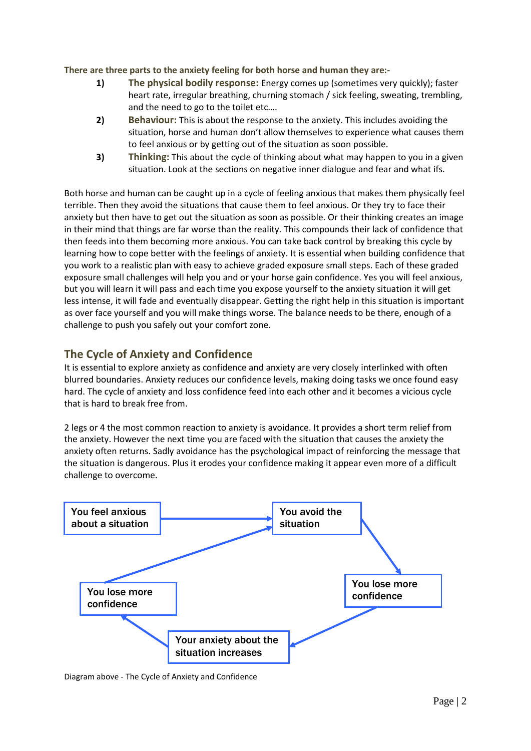**There are three parts to the anxiety feeling for both horse and human they are:-**

- **1) The physical bodily response:** Energy comes up (sometimes very quickly); faster heart rate, irregular breathing, churning stomach / sick feeling, sweating, trembling, and the need to go to the toilet etc….
- **2) Behaviour:** This is about the response to the anxiety. This includes avoiding the situation, horse and human don't allow themselves to experience what causes them to feel anxious or by getting out of the situation as soon possible.
- **3) Thinking:** This about the cycle of thinking about what may happen to you in a given situation. Look at the sections on negative inner dialogue and fear and what ifs.

Both horse and human can be caught up in a cycle of feeling anxious that makes them physically feel terrible. Then they avoid the situations that cause them to feel anxious. Or they try to face their anxiety but then have to get out the situation as soon as possible. Or their thinking creates an image in their mind that things are far worse than the reality. This compounds their lack of confidence that then feeds into them becoming more anxious. You can take back control by breaking this cycle by learning how to cope better with the feelings of anxiety. It is essential when building confidence that you work to a realistic plan with easy to achieve graded exposure small steps. Each of these graded exposure small challenges will help you and or your horse gain confidence. Yes you will feel anxious, but you will learn it will pass and each time you expose yourself to the anxiety situation it will get less intense, it will fade and eventually disappear. Getting the right help in this situation is important as over face yourself and you will make things worse. The balance needs to be there, enough of a challenge to push you safely out your comfort zone.

# **The Cycle of Anxiety and Confidence**

It is essential to explore anxiety as confidence and anxiety are very closely interlinked with often blurred boundaries. Anxiety reduces our confidence levels, making doing tasks we once found easy hard. The cycle of anxiety and loss confidence feed into each other and it becomes a vicious cycle that is hard to break free from.

2 legs or 4 the most common reaction to anxiety is avoidance. It provides a short term relief from the anxiety. However the next time you are faced with the situation that causes the anxiety the anxiety often returns. Sadly avoidance has the psychological impact of reinforcing the message that the situation is dangerous. Plus it erodes your confidence making it appear even more of a difficult challenge to overcome.



Diagram above - The Cycle of Anxiety and Confidence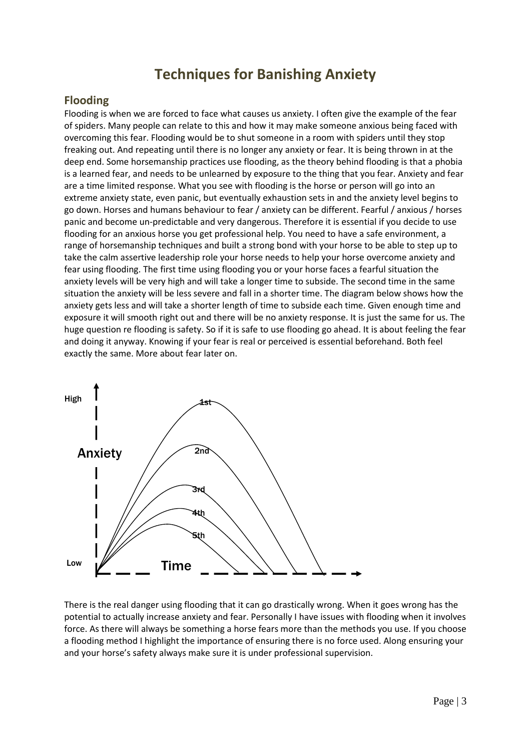# **Techniques for Banishing Anxiety**

## **Flooding**

Flooding is when we are forced to face what causes us anxiety. I often give the example of the fear of spiders. Many people can relate to this and how it may make someone anxious being faced with overcoming this fear. Flooding would be to shut someone in a room with spiders until they stop freaking out. And repeating until there is no longer any anxiety or fear. It is being thrown in at the deep end. Some horsemanship practices use flooding, as the theory behind flooding is that a phobia is a learned fear, and needs to be unlearned by exposure to the thing that you fear. Anxiety and fear are a time limited response. What you see with flooding is the horse or person will go into an extreme anxiety state, even panic, but eventually exhaustion sets in and the anxiety level begins to go down. Horses and humans behaviour to fear / anxiety can be different. Fearful / anxious / horses panic and become un-predictable and very dangerous. Therefore it is essential if you decide to use flooding for an anxious horse you get professional help. You need to have a safe environment, a range of horsemanship techniques and built a strong bond with your horse to be able to step up to take the calm assertive leadership role your horse needs to help your horse overcome anxiety and fear using flooding. The first time using flooding you or your horse faces a fearful situation the anxiety levels will be very high and will take a longer time to subside. The second time in the same situation the anxiety will be less severe and fall in a shorter time. The diagram below shows how the anxiety gets less and will take a shorter length of time to subside each time. Given enough time and exposure it will smooth right out and there will be no anxiety response. It is just the same for us. The huge question re flooding is safety. So if it is safe to use flooding go ahead. It is about feeling the fear and doing it anyway. Knowing if your fear is real or perceived is essential beforehand. Both feel exactly the same. More about fear later on.



There is the real danger using flooding that it can go drastically wrong. When it goes wrong has the potential to actually increase anxiety and fear. Personally I have issues with flooding when it involves force. As there will always be something a horse fears more than the methods you use. If you choose a flooding method I highlight the importance of ensuring there is no force used. Along ensuring your and your horse's safety always make sure it is under professional supervision.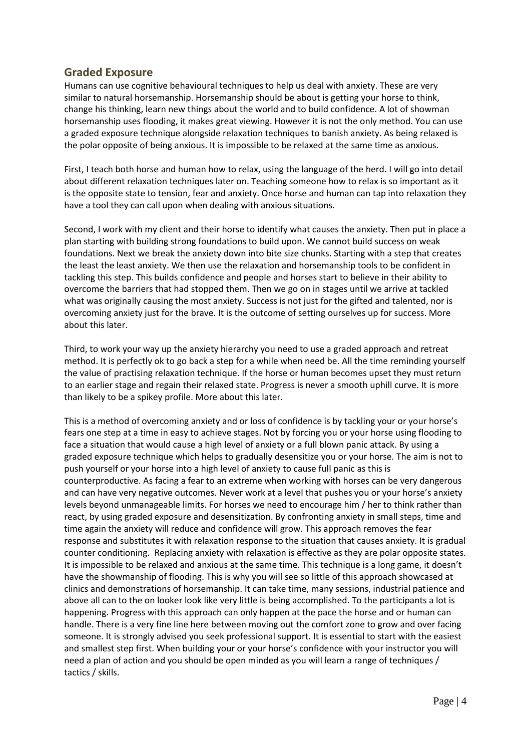# **Graded Exposure**

Humans can use cognitive behavioural techniques to help us deal with anxiety. These are very similar to natural horsemanship. Horsemanship should be about is getting your horse to think, change his thinking, learn new things about the world and to build confidence. A lot of showman horsemanship uses flooding, it makes great viewing. However it is not the only method. You can use a graded exposure technique alongside relaxation techniques to banish anxiety. As being relaxed is the polar opposite of being anxious. It is impossible to be relaxed at the same time as anxious.

First, I teach both horse and human how to relax, using the language of the herd. I will go into detail about different relaxation techniques later on. Teaching someone how to relax is so important as it is the opposite state to tension, fear and anxiety. Once horse and human can tap into relaxation they have a tool they can call upon when dealing with anxious situations.

Second, I work with my client and their horse to identify what causes the anxiety. Then put in place a plan starting with building strong foundations to build upon. We cannot build success on weak foundations. Next we break the anxiety down into bite size chunks. Starting with a step that creates the least the least anxiety. We then use the relaxation and horsemanship tools to be confident in tackling this step. This builds confidence and people and horses start to believe in their ability to overcome the barriers that had stopped them. Then we go on in stages until we arrive at tackled what was originally causing the most anxiety. Success is not just for the gifted and talented, nor is overcoming anxiety just for the brave. It is the outcome of setting ourselves up for success. More about this later.

Third, to work your way up the anxiety hierarchy you need to use a graded approach and retreat method. It is perfectly ok to go back a step for a while when need be. All the time reminding yourself the value of practising relaxation technique. If the horse or human becomes upset they must return to an earlier stage and regain their relaxed state. Progress is never a smooth uphill curve. It is more than likely to be a spikey profile. More about this later.

This is a method of overcoming anxiety and or loss of confidence is by tackling your or your horse's fears one step at a time in easy to achieve stages. Not by forcing you or your horse using flooding to face a situation that would cause a high level of anxiety or a full blown panic attack. By using a graded exposure technique which helps to gradually desensitize you or your horse. The aim is not to push yourself or your horse into a high level of anxiety to cause full panic as this is counterproductive. As facing a fear to an extreme when working with horses can be very dangerous and can have very negative outcomes. Never work at a level that pushes you or your horse's anxiety levels beyond unmanageable limits. For horses we need to encourage him / her to think rather than react, by using graded exposure and desensitization. By confronting anxiety in small steps, time and time again the anxiety will reduce and confidence will grow. This approach removes the fear response and substitutes it with relaxation response to the situation that causes anxiety. It is gradual counter conditioning. Replacing anxiety with relaxation is effective as they are polar opposite states. It is impossible to be relaxed and anxious at the same time. This technique is a long game, it doesn't have the showmanship of flooding. This is why you will see so little of this approach showcased at clinics and demonstrations of horsemanship. It can take time, many sessions, industrial patience and above all can to the on looker look like very little is being accomplished. To the participants a lot is happening. Progress with this approach can only happen at the pace the horse and or human can handle. There is a very fine line here between moving out the comfort zone to grow and over facing someone. It is strongly advised you seek professional support. It is essential to start with the easiest and smallest step first. When building your or your horse's confidence with your instructor you will need a plan of action and you should be open minded as you will learn a range of techniques / tactics / skills.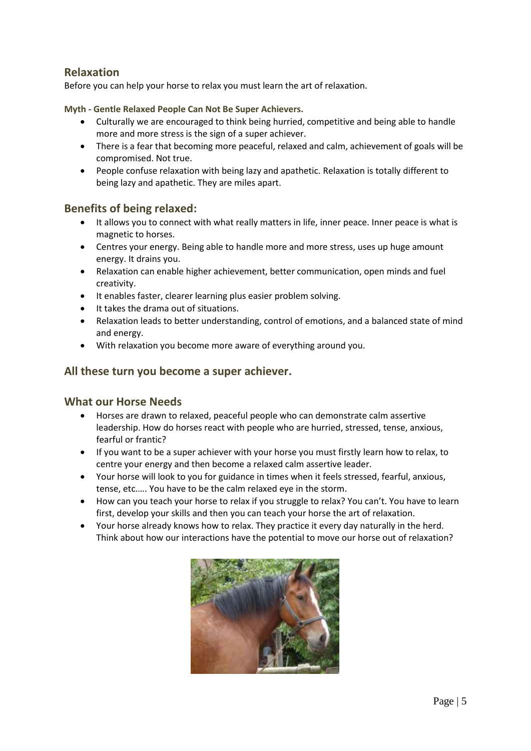# **Relaxation**

Before you can help your horse to relax you must learn the art of relaxation.

**Myth - Gentle Relaxed People Can Not Be Super Achievers.** 

- Culturally we are encouraged to think being hurried, competitive and being able to handle more and more stress is the sign of a super achiever.
- There is a fear that becoming more peaceful, relaxed and calm, achievement of goals will be compromised. Not true.
- People confuse relaxation with being lazy and apathetic. Relaxation is totally different to being lazy and apathetic. They are miles apart.

### **Benefits of being relaxed:**

- It allows you to connect with what really matters in life, inner peace. Inner peace is what is magnetic to horses.
- Centres your energy. Being able to handle more and more stress, uses up huge amount energy. It drains you.
- Relaxation can enable higher achievement, better communication, open minds and fuel creativity.
- It enables faster, clearer learning plus easier problem solving.
- It takes the drama out of situations.
- Relaxation leads to better understanding, control of emotions, and a balanced state of mind and energy.
- With relaxation you become more aware of everything around you.

### **All these turn you become a super achiever.**

### **What our Horse Needs**

- Horses are drawn to relaxed, peaceful people who can demonstrate calm assertive leadership. How do horses react with people who are hurried, stressed, tense, anxious, fearful or frantic?
- If you want to be a super achiever with your horse you must firstly learn how to relax, to centre your energy and then become a relaxed calm assertive leader.
- Your horse will look to you for guidance in times when it feels stressed, fearful, anxious, tense, etc.…. You have to be the calm relaxed eye in the storm.
- How can you teach your horse to relax if you struggle to relax? You can't. You have to learn first, develop your skills and then you can teach your horse the art of relaxation.
- Your horse already knows how to relax. They practice it every day naturally in the herd. Think about how our interactions have the potential to move our horse out of relaxation?

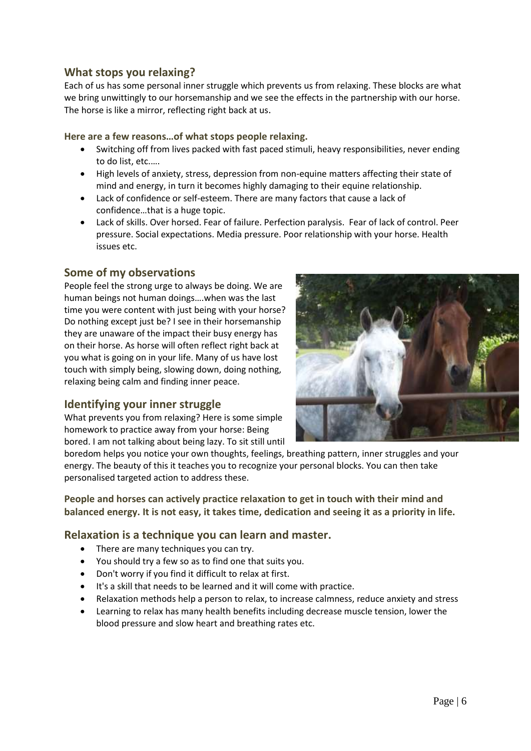# **What stops you relaxing?**

Each of us has some personal inner struggle which prevents us from relaxing. These blocks are what we bring unwittingly to our horsemanship and we see the effects in the partnership with our horse. The horse is like a mirror, reflecting right back at us.

### **Here are a few reasons…of what stops people relaxing.**

- Switching off from lives packed with fast paced stimuli, heavy responsibilities, never ending to do list, etc.….
- High levels of anxiety, stress, depression from non-equine matters affecting their state of mind and energy, in turn it becomes highly damaging to their equine relationship.
- Lack of confidence or self-esteem. There are many factors that cause a lack of confidence…that is a huge topic.
- Lack of skills. Over horsed. Fear of failure. Perfection paralysis. Fear of lack of control. Peer pressure. Social expectations. Media pressure. Poor relationship with your horse. Health issues etc.

# **Some of my observations**

People feel the strong urge to always be doing. We are human beings not human doings….when was the last time you were content with just being with your horse? Do nothing except just be? I see in their horsemanship they are unaware of the impact their busy energy has on their horse. As horse will often reflect right back at you what is going on in your life. Many of us have lost touch with simply being, slowing down, doing nothing, relaxing being calm and finding inner peace.

### **Identifying your inner struggle**

What prevents you from relaxing? Here is some simple homework to practice away from your horse: Being bored. I am not talking about being lazy. To sit still until



boredom helps you notice your own thoughts, feelings, breathing pattern, inner struggles and your energy. The beauty of this it teaches you to recognize your personal blocks. You can then take personalised targeted action to address these.

**People and horses can actively practice relaxation to get in touch with their mind and balanced energy. It is not easy, it takes time, dedication and seeing it as a priority in life.** 

### **Relaxation is a technique you can learn and master.**

- There are many techniques you can try.
- You should try a few so as to find one that suits you.
- Don't worry if you find it difficult to relax at first.
- It's a skill that needs to be learned and it will come with practice.
- Relaxation methods help a person to relax, to increase calmness, reduce anxiety and stress
- Learning to relax has many health benefits including decrease muscle tension, lower the blood pressure and slow heart and breathing rates etc.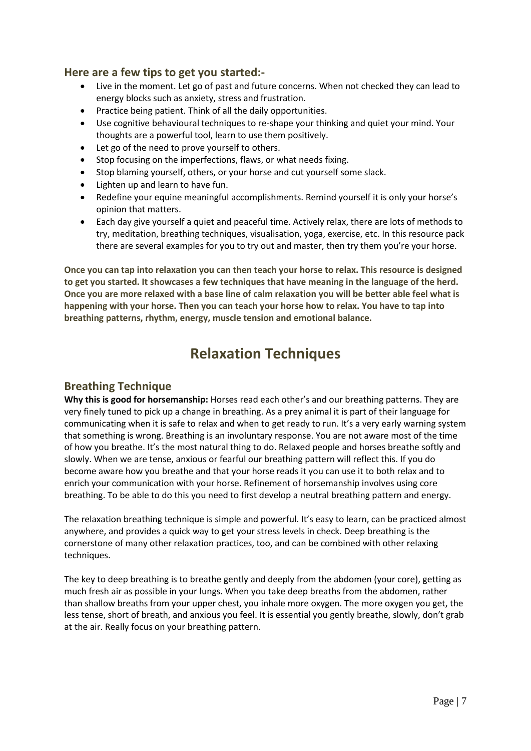## **Here are a few tips to get you started:-**

- Live in the moment. Let go of past and future concerns. When not checked they can lead to energy blocks such as anxiety, stress and frustration.
- Practice being patient. Think of all the daily opportunities.
- Use cognitive behavioural techniques to re-shape your thinking and quiet your mind. Your thoughts are a powerful tool, learn to use them positively.
- Let go of the need to prove yourself to others.
- Stop focusing on the imperfections, flaws, or what needs fixing.
- Stop blaming yourself, others, or your horse and cut yourself some slack.
- Lighten up and learn to have fun.
- Redefine your equine meaningful accomplishments. Remind yourself it is only your horse's opinion that matters.
- Each day give yourself a quiet and peaceful time. Actively relax, there are lots of methods to try, meditation, breathing techniques, visualisation, yoga, exercise, etc. In this resource pack there are several examples for you to try out and master, then try them you're your horse.

**Once you can tap into relaxation you can then teach your horse to relax. This resource is designed to get you started. It showcases a few techniques that have meaning in the language of the herd. Once you are more relaxed with a base line of calm relaxation you will be better able feel what is happening with your horse. Then you can teach your horse how to relax. You have to tap into breathing patterns, rhythm, energy, muscle tension and emotional balance.**

# **Relaxation Techniques**

# **Breathing Technique**

**Why this is good for horsemanship:** Horses read each other's and our breathing patterns. They are very finely tuned to pick up a change in breathing. As a prey animal it is part of their language for communicating when it is safe to relax and when to get ready to run. It's a very early warning system that something is wrong. Breathing is an involuntary response. You are not aware most of the time of how you breathe. It's the most natural thing to do. Relaxed people and horses breathe softly and slowly. When we are tense, anxious or fearful our breathing pattern will reflect this. If you do become aware how you breathe and that your horse reads it you can use it to both relax and to enrich your communication with your horse. Refinement of horsemanship involves using core breathing. To be able to do this you need to first develop a neutral breathing pattern and energy.

The relaxation breathing technique is simple and powerful. It's easy to learn, can be practiced almost anywhere, and provides a quick way to get your stress levels in check. Deep breathing is the cornerstone of many other relaxation practices, too, and can be combined with other relaxing techniques.

The key to deep breathing is to breathe gently and deeply from the abdomen (your core), getting as much fresh air as possible in your lungs. When you take deep breaths from the abdomen, rather than shallow breaths from your upper chest, you inhale more oxygen. The more oxygen you get, the less tense, short of breath, and anxious you feel. It is essential you gently breathe, slowly, don't grab at the air. Really focus on your breathing pattern.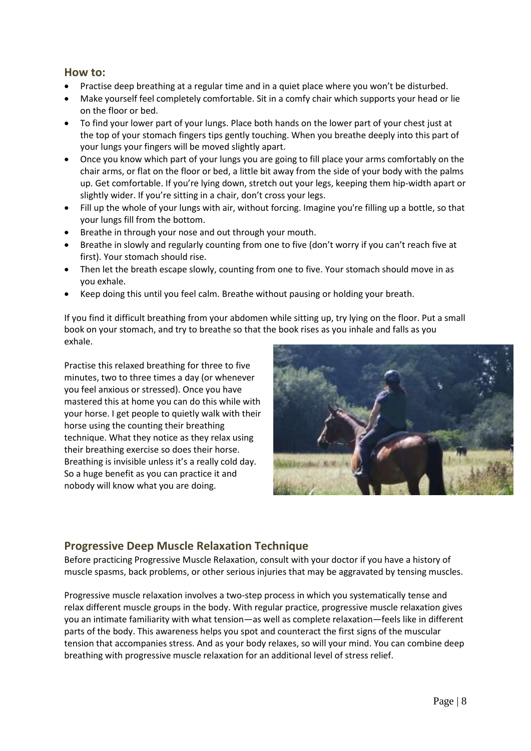### **How to:**

- Practise deep breathing at a regular time and in a quiet place where you won't be disturbed.
- Make yourself feel completely comfortable. Sit in a comfy chair which supports your head or lie on the floor or bed.
- To find your lower part of your lungs. Place both hands on the lower part of your chest just at the top of your stomach fingers tips gently touching. When you breathe deeply into this part of your lungs your fingers will be moved slightly apart.
- Once you know which part of your lungs you are going to fill place your arms comfortably on the chair arms, or flat on the floor or bed, a little bit away from the side of your body with the palms up. Get comfortable. If you're lying down, stretch out your legs, keeping them hip-width apart or slightly wider. If you're sitting in a chair, don't cross your legs.
- Fill up the whole of your lungs with air, without forcing. Imagine you're filling up a bottle, so that your lungs fill from the bottom.
- Breathe in through your nose and out through your mouth.
- Breathe in slowly and regularly counting from one to five (don't worry if you can't reach five at first). Your stomach should rise.
- Then let the breath escape slowly, counting from one to five. Your stomach should move in as you exhale.
- Keep doing this until you feel calm. Breathe without pausing or holding your breath.

If you find it difficult breathing from your abdomen while sitting up, try lying on the floor. Put a small book on your stomach, and try to breathe so that the book rises as you inhale and falls as you exhale.

Practise this relaxed breathing for three to five minutes, two to three times a day (or whenever you feel anxious or stressed). Once you have mastered this at home you can do this while with your horse. I get people to quietly walk with their horse using the counting their breathing technique. What they notice as they relax using their breathing exercise so does their horse. Breathing is invisible unless it's a really cold day. So a huge benefit as you can practice it and nobody will know what you are doing.



### **Progressive Deep Muscle Relaxation Technique**

Before practicing Progressive Muscle Relaxation, consult with your doctor if you have a history of muscle spasms, back problems, or other serious injuries that may be aggravated by tensing muscles.

Progressive muscle relaxation involves a two-step process in which you systematically tense and relax different muscle groups in the body. With regular practice, progressive muscle relaxation gives you an intimate familiarity with what tension—as well as complete relaxation—feels like in different parts of the body. This awareness helps you spot and counteract the first signs of the muscular tension that accompanies stress. And as your body relaxes, so will your mind. You can combine deep breathing with progressive muscle relaxation for an additional level of stress relief.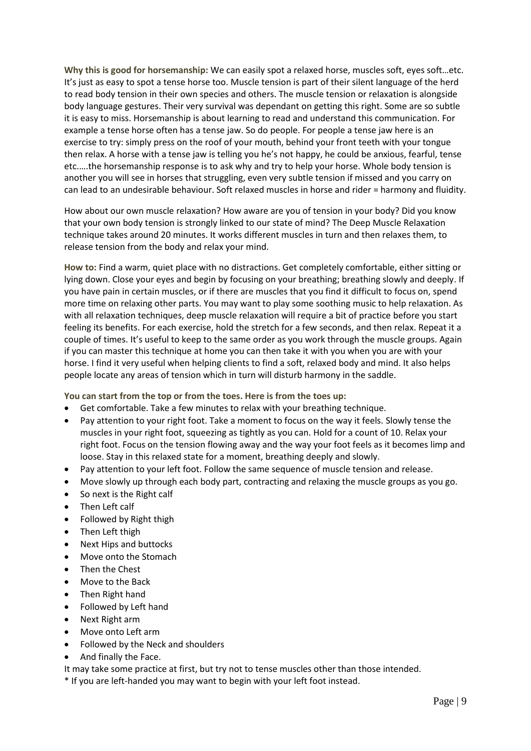**Why this is good for horsemanship:** We can easily spot a relaxed horse, muscles soft, eyes soft…etc. It's just as easy to spot a tense horse too. Muscle tension is part of their silent language of the herd to read body tension in their own species and others. The muscle tension or relaxation is alongside body language gestures. Their very survival was dependant on getting this right. Some are so subtle it is easy to miss. Horsemanship is about learning to read and understand this communication. For example a tense horse often has a tense jaw. So do people. For people a tense jaw here is an exercise to try: simply press on the roof of your mouth, behind your front teeth with your tongue then relax. A horse with a tense jaw is telling you he's not happy, he could be anxious, fearful, tense etc.….the horsemanship response is to ask why and try to help your horse. Whole body tension is another you will see in horses that struggling, even very subtle tension if missed and you carry on can lead to an undesirable behaviour. Soft relaxed muscles in horse and rider = harmony and fluidity.

How about our own muscle relaxation? How aware are you of tension in your body? Did you know that your own body tension is strongly linked to our state of mind? The Deep Muscle Relaxation technique takes around 20 minutes. It works different muscles in turn and then relaxes them, to release tension from the body and relax your mind.

**How to:** Find a warm, quiet place with no distractions. Get completely comfortable, either sitting or lying down. Close your eyes and begin by focusing on your breathing; breathing slowly and deeply. If you have pain in certain muscles, or if there are muscles that you find it difficult to focus on, spend more time on relaxing other parts. You may want to play some soothing music to help relaxation. As with all relaxation techniques, deep muscle relaxation will require a bit of practice before you start feeling its benefits. For each exercise, hold the stretch for a few seconds, and then relax. Repeat it a couple of times. It's useful to keep to the same order as you work through the muscle groups. Again if you can master this technique at home you can then take it with you when you are with your horse. I find it very useful when helping clients to find a soft, relaxed body and mind. It also helps people locate any areas of tension which in turn will disturb harmony in the saddle.

**You can start from the top or from the toes. Here is from the toes up:**

- Get comfortable. Take a few minutes to relax with your breathing technique.
- Pay attention to your right foot. Take a moment to focus on the way it feels. Slowly tense the muscles in your right foot, squeezing as tightly as you can. Hold for a count of 10. Relax your right foot. Focus on the tension flowing away and the way your foot feels as it becomes limp and loose. Stay in this relaxed state for a moment, breathing deeply and slowly.
- Pay attention to your left foot. Follow the same sequence of muscle tension and release.
- Move slowly up through each body part, contracting and relaxing the muscle groups as you go.
- So next is the Right calf
- Then Left calf
- Followed by Right thigh
- Then Left thigh
- Next Hips and buttocks
- Move onto the Stomach
- Then the Chest
- Move to the Back
- Then Right hand
- Followed by Left hand
- Next Right arm
- Move onto Left arm
- Followed by the Neck and shoulders
- And finally the Face.

It may take some practice at first, but try not to tense muscles other than those intended.

\* If you are left-handed you may want to begin with your left foot instead.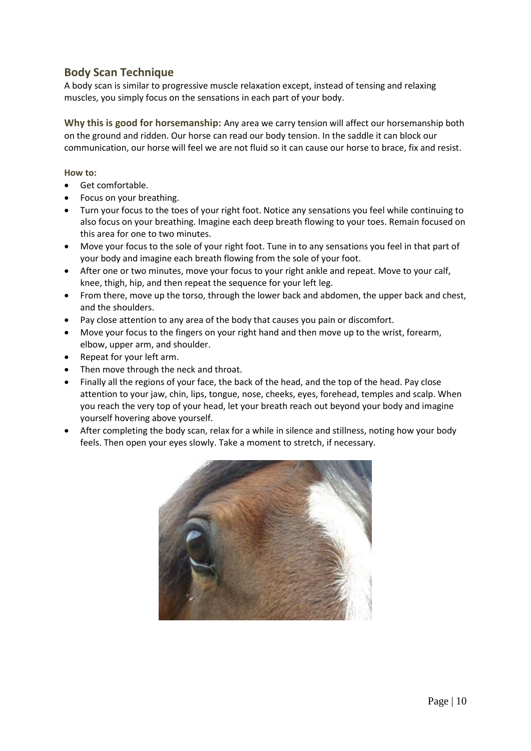# **Body Scan Technique**

A body scan is similar to progressive muscle relaxation except, instead of tensing and relaxing muscles, you simply focus on the sensations in each part of your body.

**Why this is good for horsemanship:** Any area we carry tension will affect our horsemanship both on the ground and ridden. Our horse can read our body tension. In the saddle it can block our communication, our horse will feel we are not fluid so it can cause our horse to brace, fix and resist.

#### **How to:**

- Get comfortable.
- Focus on your breathing.
- Turn your focus to the toes of your right foot. Notice any sensations you feel while continuing to also focus on your breathing. Imagine each deep breath flowing to your toes. Remain focused on this area for one to two minutes.
- Move your focus to the sole of your right foot. Tune in to any sensations you feel in that part of your body and imagine each breath flowing from the sole of your foot.
- After one or two minutes, move your focus to your right ankle and repeat. Move to your calf, knee, thigh, hip, and then repeat the sequence for your left leg.
- From there, move up the torso, through the lower back and abdomen, the upper back and chest, and the shoulders.
- Pay close attention to any area of the body that causes you pain or discomfort.
- Move your focus to the fingers on your right hand and then move up to the wrist, forearm, elbow, upper arm, and shoulder.
- Repeat for your left arm.
- Then move through the neck and throat.
- Finally all the regions of your face, the back of the head, and the top of the head. Pay close attention to your jaw, chin, lips, tongue, nose, cheeks, eyes, forehead, temples and scalp. When you reach the very top of your head, let your breath reach out beyond your body and imagine yourself hovering above yourself.
- After completing the body scan, relax for a while in silence and stillness, noting how your body feels. Then open your eyes slowly. Take a moment to stretch, if necessary.

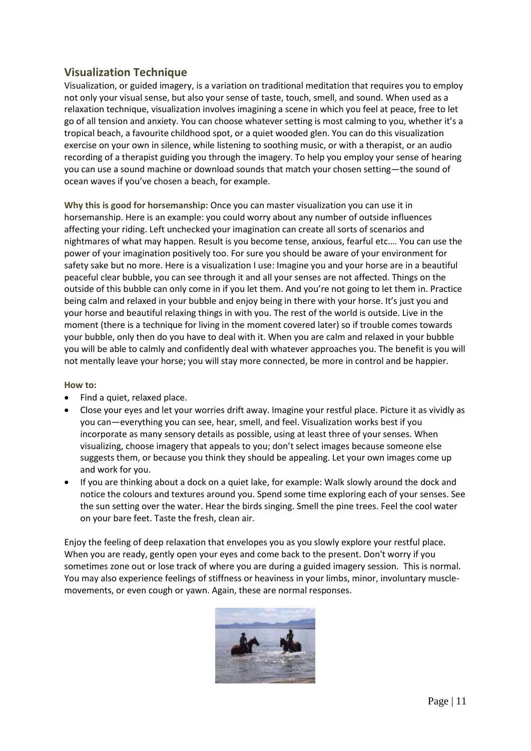# **Visualization Technique**

Visualization, or guided imagery, is a variation on traditional meditation that requires you to employ not only your visual sense, but also your sense of taste, touch, smell, and sound. When used as a relaxation technique, visualization involves imagining a scene in which you feel at peace, free to let go of all tension and anxiety. You can choose whatever setting is most calming to you, whether it's a tropical beach, a favourite childhood spot, or a quiet wooded glen. You can do this visualization exercise on your own in silence, while listening to soothing music, or with a therapist, or an audio recording of a therapist guiding you through the imagery. To help you employ your sense of hearing you can use a sound machine or download sounds that match your chosen setting—the sound of ocean waves if you've chosen a beach, for example.

**Why this is good for horsemanship:** Once you can master visualization you can use it in horsemanship. Here is an example: you could worry about any number of outside influences affecting your riding. Left unchecked your imagination can create all sorts of scenarios and nightmares of what may happen. Result is you become tense, anxious, fearful etc.… You can use the power of your imagination positively too. For sure you should be aware of your environment for safety sake but no more. Here is a visualization I use: Imagine you and your horse are in a beautiful peaceful clear bubble, you can see through it and all your senses are not affected. Things on the outside of this bubble can only come in if you let them. And you're not going to let them in. Practice being calm and relaxed in your bubble and enjoy being in there with your horse. It's just you and your horse and beautiful relaxing things in with you. The rest of the world is outside. Live in the moment (there is a technique for living in the moment covered later) so if trouble comes towards your bubble, only then do you have to deal with it. When you are calm and relaxed in your bubble you will be able to calmly and confidently deal with whatever approaches you. The benefit is you will not mentally leave your horse; you will stay more connected, be more in control and be happier.

#### **How to:**

- Find a quiet, relaxed place.
- Close your eyes and let your worries drift away. Imagine your restful place. Picture it as vividly as you can—everything you can see, hear, smell, and feel. Visualization works best if you incorporate as many sensory details as possible, using at least three of your senses. When visualizing, choose imagery that appeals to you; don't select images because someone else suggests them, or because you think they should be appealing. Let your own images come up and work for you.
- If you are thinking about a dock on a quiet lake, for example: Walk slowly around the dock and notice the colours and textures around you. Spend some time exploring each of your senses. See the sun setting over the water. Hear the birds singing. Smell the pine trees. Feel the cool water on your bare feet. Taste the fresh, clean air.

Enjoy the feeling of deep relaxation that envelopes you as you slowly explore your restful place. When you are ready, gently open your eyes and come back to the present. Don't worry if you sometimes zone out or lose track of where you are during a guided imagery session. This is normal. You may also experience feelings of stiffness or heaviness in your limbs, minor, involuntary musclemovements, or even cough or yawn. Again, these are normal responses.

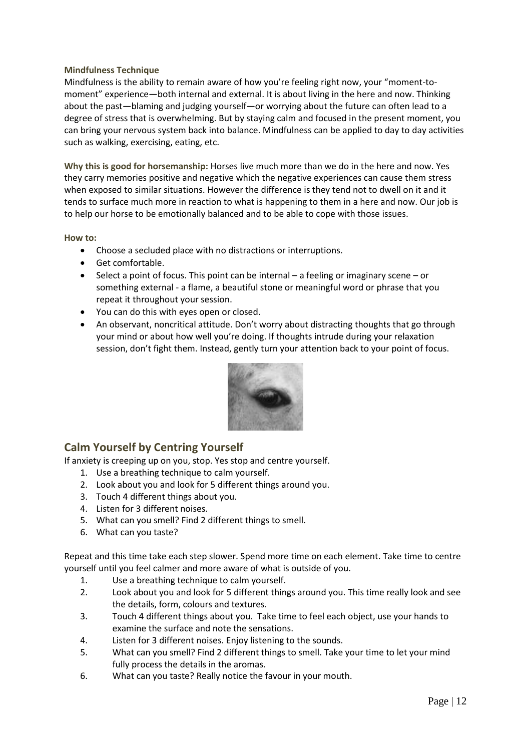#### **Mindfulness Technique**

Mindfulness is the ability to remain aware of how you're feeling right now, your "moment-tomoment" experience—both internal and external. It is about living in the here and now. Thinking about the past—blaming and judging yourself—or worrying about the future can often lead to a degree of stress that is overwhelming. But by staying calm and focused in the present moment, you can bring your nervous system back into balance. Mindfulness can be applied to day to day activities such as walking, exercising, eating, etc.

**Why this is good for horsemanship:** Horses live much more than we do in the here and now. Yes they carry memories positive and negative which the negative experiences can cause them stress when exposed to similar situations. However the difference is they tend not to dwell on it and it tends to surface much more in reaction to what is happening to them in a here and now. Our job is to help our horse to be emotionally balanced and to be able to cope with those issues.

#### **How to:**

- Choose a secluded place with no distractions or interruptions.
- Get comfortable.
- $\bullet$  Select a point of focus. This point can be internal a feeling or imaginary scene or something external - a flame, a beautiful stone or meaningful word or phrase that you repeat it throughout your session.
- You can do this with eyes open or closed.
- An observant, noncritical attitude. Don't worry about distracting thoughts that go through your mind or about how well you're doing. If thoughts intrude during your relaxation session, don't fight them. Instead, gently turn your attention back to your point of focus.



# **Calm Yourself by Centring Yourself**

If anxiety is creeping up on you, stop. Yes stop and centre yourself.

- 1. Use a breathing technique to calm yourself.
- 2. Look about you and look for 5 different things around you.
- 3. Touch 4 different things about you.
- 4. Listen for 3 different noises.
- 5. What can you smell? Find 2 different things to smell.
- 6. What can you taste?

Repeat and this time take each step slower. Spend more time on each element. Take time to centre yourself until you feel calmer and more aware of what is outside of you.

- 1. Use a breathing technique to calm yourself.
- 2. Look about you and look for 5 different things around you. This time really look and see the details, form, colours and textures.
- 3. Touch 4 different things about you. Take time to feel each object, use your hands to examine the surface and note the sensations.
- 4. Listen for 3 different noises. Enjoy listening to the sounds.
- 5. What can you smell? Find 2 different things to smell. Take your time to let your mind fully process the details in the aromas.
- 6. What can you taste? Really notice the favour in your mouth.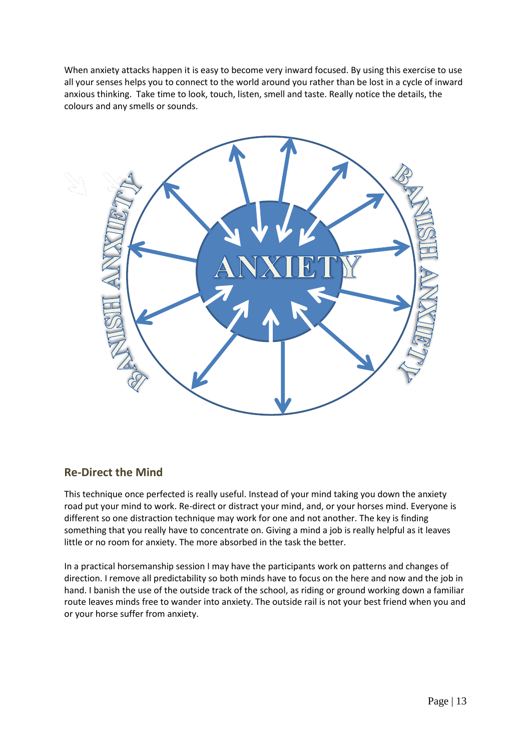When anxiety attacks happen it is easy to become very inward focused. By using this exercise to use all your senses helps you to connect to the world around you rather than be lost in a cycle of inward anxious thinking. Take time to look, touch, listen, smell and taste. Really notice the details, the colours and any smells or sounds.



### **Re-Direct the Mind**

This technique once perfected is really useful. Instead of your mind taking you down the anxiety road put your mind to work. Re-direct or distract your mind, and, or your horses mind. Everyone is different so one distraction technique may work for one and not another. The key is finding something that you really have to concentrate on. Giving a mind a job is really helpful as it leaves little or no room for anxiety. The more absorbed in the task the better.

In a practical horsemanship session I may have the participants work on patterns and changes of direction. I remove all predictability so both minds have to focus on the here and now and the job in hand. I banish the use of the outside track of the school, as riding or ground working down a familiar route leaves minds free to wander into anxiety. The outside rail is not your best friend when you and or your horse suffer from anxiety.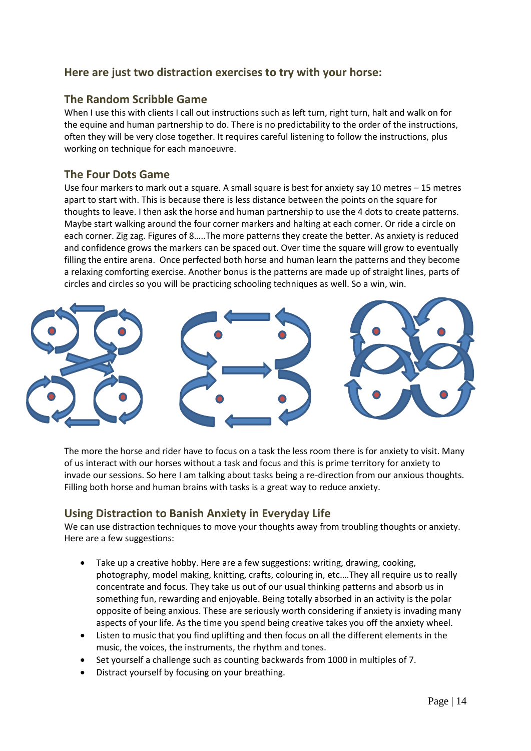# **Here are just two distraction exercises to try with your horse:**

## **The Random Scribble Game**

When I use this with clients I call out instructions such as left turn, right turn, halt and walk on for the equine and human partnership to do. There is no predictability to the order of the instructions, often they will be very close together. It requires careful listening to follow the instructions, plus working on technique for each manoeuvre.

## **The Four Dots Game**

Use four markers to mark out a square. A small square is best for anxiety say 10 metres – 15 metres apart to start with. This is because there is less distance between the points on the square for thoughts to leave. I then ask the horse and human partnership to use the 4 dots to create patterns. Maybe start walking around the four corner markers and halting at each corner. Or ride a circle on each corner. Zig zag. Figures of 8…..The more patterns they create the better. As anxiety is reduced and confidence grows the markers can be spaced out. Over time the square will grow to eventually filling the entire arena. Once perfected both horse and human learn the patterns and they become a relaxing comforting exercise. Another bonus is the patterns are made up of straight lines, parts of circles and circles so you will be practicing schooling techniques as well. So a win, win.



The more the horse and rider have to focus on a task the less room there is for anxiety to visit. Many of us interact with our horses without a task and focus and this is prime territory for anxiety to invade our sessions. So here I am talking about tasks being a re-direction from our anxious thoughts. Filling both horse and human brains with tasks is a great way to reduce anxiety.

# **Using Distraction to Banish Anxiety in Everyday Life**

We can use distraction techniques to move your thoughts away from troubling thoughts or anxiety. Here are a few suggestions:

- Take up a creative hobby. Here are a few suggestions: writing, drawing, cooking, photography, model making, knitting, crafts, colouring in, etc.…They all require us to really concentrate and focus. They take us out of our usual thinking patterns and absorb us in something fun, rewarding and enjoyable. Being totally absorbed in an activity is the polar opposite of being anxious. These are seriously worth considering if anxiety is invading many aspects of your life. As the time you spend being creative takes you off the anxiety wheel.
- Listen to music that you find uplifting and then focus on all the different elements in the music, the voices, the instruments, the rhythm and tones.
- Set yourself a challenge such as counting backwards from 1000 in multiples of 7.
- Distract yourself by focusing on your breathing.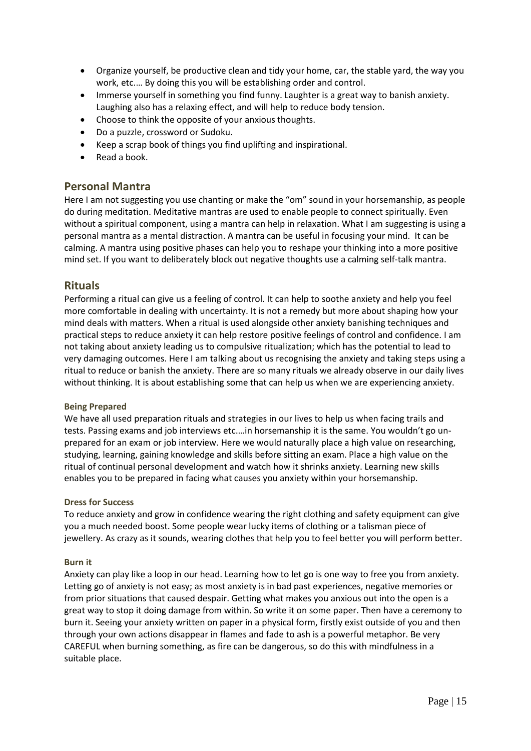- Organize yourself, be productive clean and tidy your home, car, the stable yard, the way you work, etc.… By doing this you will be establishing order and control.
- Immerse yourself in something you find funny. Laughter is a great way to banish anxiety. Laughing also has a relaxing effect, and will help to reduce body tension.
- Choose to think the opposite of your anxious thoughts.
- Do a puzzle, crossword or Sudoku.
- Keep a scrap book of things you find uplifting and inspirational.
- Read a book.

### **Personal Mantra**

Here I am not suggesting you use chanting or make the "om" sound in your horsemanship, as people do during meditation. Meditative mantras are used to enable people to connect spiritually. Even without a spiritual component, using a mantra can help in relaxation. What I am suggesting is using a personal mantra as a mental distraction. A mantra can be useful in focusing your mind. It can be calming. A mantra using positive phases can help you to reshape your thinking into a more positive mind set. If you want to deliberately block out negative thoughts use a calming self-talk mantra.

### **Rituals**

Performing a ritual can give us a feeling of control. It can help to soothe anxiety and help you feel more comfortable in dealing with uncertainty. It is not a remedy but more about shaping how your mind deals with matters. When a ritual is used alongside other anxiety banishing techniques and practical steps to reduce anxiety it can help restore positive feelings of control and confidence. I am not taking about anxiety leading us to compulsive ritualization; which has the potential to lead to very damaging outcomes. Here I am talking about us recognising the anxiety and taking steps using a ritual to reduce or banish the anxiety. There are so many rituals we already observe in our daily lives without thinking. It is about establishing some that can help us when we are experiencing anxiety.

#### **Being Prepared**

We have all used preparation rituals and strategies in our lives to help us when facing trails and tests. Passing exams and job interviews etc.…in horsemanship it is the same. You wouldn't go unprepared for an exam or job interview. Here we would naturally place a high value on researching, studying, learning, gaining knowledge and skills before sitting an exam. Place a high value on the ritual of continual personal development and watch how it shrinks anxiety. Learning new skills enables you to be prepared in facing what causes you anxiety within your horsemanship.

#### **Dress for Success**

To reduce anxiety and grow in confidence wearing the right clothing and safety equipment can give you a much needed boost. Some people wear lucky items of clothing or a talisman piece of jewellery. As crazy as it sounds, wearing clothes that help you to feel better you will perform better.

### **Burn it**

Anxiety can play like a loop in our head. Learning how to let go is one way to free you from anxiety. Letting go of anxiety is not easy; as most anxiety is in bad past experiences, negative memories or from prior situations that caused despair. Getting what makes you anxious out into the open is a great way to stop it doing damage from within. So write it on some paper. Then have a ceremony to burn it. Seeing your anxiety written on paper in a physical form, firstly exist outside of you and then through your own actions disappear in flames and fade to ash is a powerful metaphor. Be very CAREFUL when burning something, as fire can be dangerous, so do this with mindfulness in a suitable place.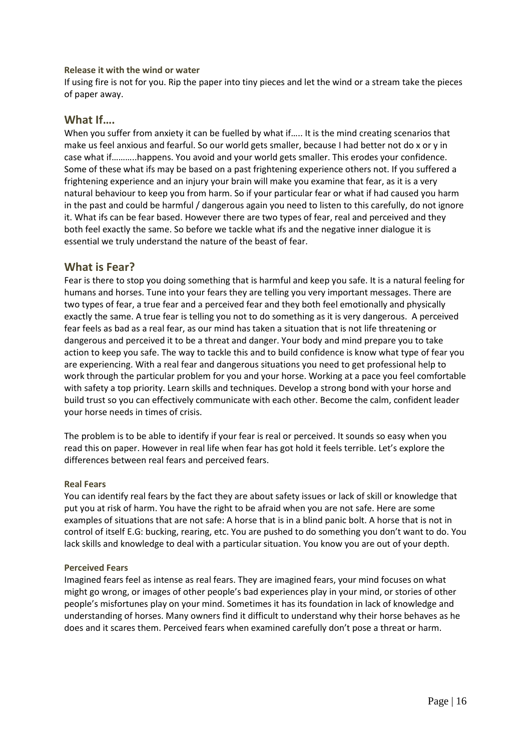#### **Release it with the wind or water**

If using fire is not for you. Rip the paper into tiny pieces and let the wind or a stream take the pieces of paper away.

### **What If….**

When you suffer from anxiety it can be fuelled by what if..... It is the mind creating scenarios that make us feel anxious and fearful. So our world gets smaller, because I had better not do x or y in case what if………..happens. You avoid and your world gets smaller. This erodes your confidence. Some of these what ifs may be based on a past frightening experience others not. If you suffered a frightening experience and an injury your brain will make you examine that fear, as it is a very natural behaviour to keep you from harm. So if your particular fear or what if had caused you harm in the past and could be harmful / dangerous again you need to listen to this carefully, do not ignore it. What ifs can be fear based. However there are two types of fear, real and perceived and they both feel exactly the same. So before we tackle what ifs and the negative inner dialogue it is essential we truly understand the nature of the beast of fear.

### **What is Fear?**

Fear is there to stop you doing something that is harmful and keep you safe. It is a natural feeling for humans and horses. Tune into your fears they are telling you very important messages. There are two types of fear, a true fear and a perceived fear and they both feel emotionally and physically exactly the same. A true fear is telling you not to do something as it is very dangerous. A perceived fear feels as bad as a real fear, as our mind has taken a situation that is not life threatening or dangerous and perceived it to be a threat and danger. Your body and mind prepare you to take action to keep you safe. The way to tackle this and to build confidence is know what type of fear you are experiencing. With a real fear and dangerous situations you need to get professional help to work through the particular problem for you and your horse. Working at a pace you feel comfortable with safety a top priority. Learn skills and techniques. Develop a strong bond with your horse and build trust so you can effectively communicate with each other. Become the calm, confident leader your horse needs in times of crisis.

The problem is to be able to identify if your fear is real or perceived. It sounds so easy when you read this on paper. However in real life when fear has got hold it feels terrible. Let's explore the differences between real fears and perceived fears.

#### **Real Fears**

You can identify real fears by the fact they are about safety issues or lack of skill or knowledge that put you at risk of harm. You have the right to be afraid when you are not safe. Here are some examples of situations that are not safe: A horse that is in a blind panic bolt. A horse that is not in control of itself E.G: bucking, rearing, etc. You are pushed to do something you don't want to do. You lack skills and knowledge to deal with a particular situation. You know you are out of your depth.

#### **Perceived Fears**

Imagined fears feel as intense as real fears. They are imagined fears, your mind focuses on what might go wrong, or images of other people's bad experiences play in your mind, or stories of other people's misfortunes play on your mind. Sometimes it has its foundation in lack of knowledge and understanding of horses. Many owners find it difficult to understand why their horse behaves as he does and it scares them. Perceived fears when examined carefully don't pose a threat or harm.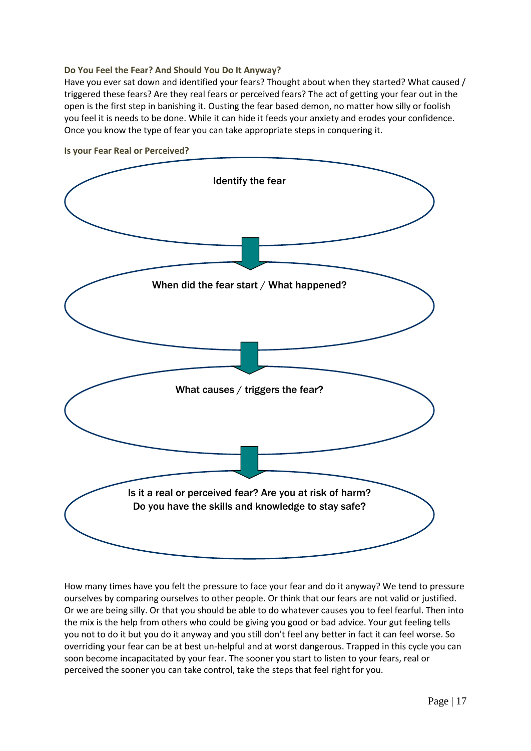#### **Do You Feel the Fear? And Should You Do It Anyway?**

Have you ever sat down and identified your fears? Thought about when they started? What caused / triggered these fears? Are they real fears or perceived fears? The act of getting your fear out in the open is the first step in banishing it. Ousting the fear based demon, no matter how silly or foolish you feel it is needs to be done. While it can hide it feeds your anxiety and erodes your confidence. Once you know the type of fear you can take appropriate steps in conquering it.



**Is your Fear Real or Perceived?**

How many times have you felt the pressure to face your fear and do it anyway? We tend to pressure ourselves by comparing ourselves to other people. Or think that our fears are not valid or justified. Or we are being silly. Or that you should be able to do whatever causes you to feel fearful. Then into the mix is the help from others who could be giving you good or bad advice. Your gut feeling tells you not to do it but you do it anyway and you still don't feel any better in fact it can feel worse. So overriding your fear can be at best un-helpful and at worst dangerous. Trapped in this cycle you can soon become incapacitated by your fear. The sooner you start to listen to your fears, real or perceived the sooner you can take control, take the steps that feel right for you.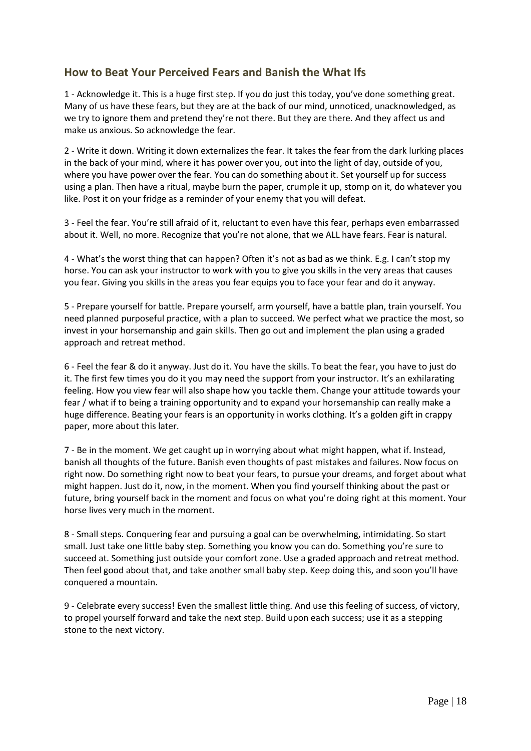# **How to Beat Your Perceived Fears and Banish the What Ifs**

1 - Acknowledge it. This is a huge first step. If you do just this today, you've done something great. Many of us have these fears, but they are at the back of our mind, unnoticed, unacknowledged, as we try to ignore them and pretend they're not there. But they are there. And they affect us and make us anxious. So acknowledge the fear.

2 - Write it down. Writing it down externalizes the fear. It takes the fear from the dark lurking places in the back of your mind, where it has power over you, out into the light of day, outside of you, where you have power over the fear. You can do something about it. Set yourself up for success using a plan. Then have a ritual, maybe burn the paper, crumple it up, stomp on it, do whatever you like. Post it on your fridge as a reminder of your enemy that you will defeat.

3 - Feel the fear. You're still afraid of it, reluctant to even have this fear, perhaps even embarrassed about it. Well, no more. Recognize that you're not alone, that we ALL have fears. Fear is natural.

4 - What's the worst thing that can happen? Often it's not as bad as we think. E.g. I can't stop my horse. You can ask your instructor to work with you to give you skills in the very areas that causes you fear. Giving you skills in the areas you fear equips you to face your fear and do it anyway.

5 - Prepare yourself for battle. Prepare yourself, arm yourself, have a battle plan, train yourself. You need planned purposeful practice, with a plan to succeed. We perfect what we practice the most, so invest in your horsemanship and gain skills. Then go out and implement the plan using a graded approach and retreat method.

6 - Feel the fear & do it anyway. Just do it. You have the skills. To beat the fear, you have to just do it. The first few times you do it you may need the support from your instructor. It's an exhilarating feeling. How you view fear will also shape how you tackle them. Change your attitude towards your fear / what if to being a training opportunity and to expand your horsemanship can really make a huge difference. Beating your fears is an opportunity in works clothing. It's a golden gift in crappy paper, more about this later.

7 - Be in the moment. We get caught up in worrying about what might happen, what if. Instead, banish all thoughts of the future. Banish even thoughts of past mistakes and failures. Now focus on right now. Do something right now to beat your fears, to pursue your dreams, and forget about what might happen. Just do it, now, in the moment. When you find yourself thinking about the past or future, bring yourself back in the moment and focus on what you're doing right at this moment. Your horse lives very much in the moment.

8 - Small steps. Conquering fear and pursuing a goal can be overwhelming, intimidating. So start small. Just take one little baby step. Something you know you can do. Something you're sure to succeed at. Something just outside your comfort zone. Use a graded approach and retreat method. Then feel good about that, and take another small baby step. Keep doing this, and soon you'll have conquered a mountain.

9 - Celebrate every success! Even the smallest little thing. And use this feeling of success, of victory, to propel yourself forward and take the next step. Build upon each success; use it as a stepping stone to the next victory.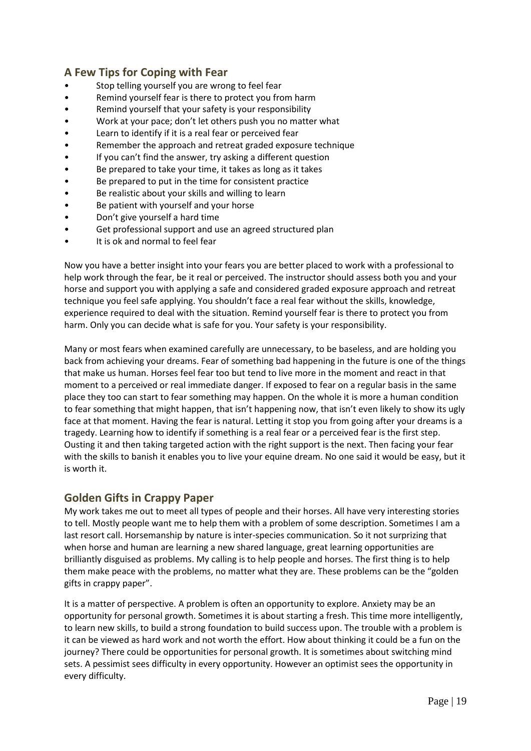# **A Few Tips for Coping with Fear**

- Stop telling yourself you are wrong to feel fear
- Remind yourself fear is there to protect you from harm
- Remind yourself that your safety is your responsibility
- Work at your pace; don't let others push you no matter what
- Learn to identify if it is a real fear or perceived fear
- Remember the approach and retreat graded exposure technique
- If you can't find the answer, try asking a different question
- Be prepared to take your time, it takes as long as it takes
- Be prepared to put in the time for consistent practice
- Be realistic about your skills and willing to learn
- Be patient with yourself and your horse
- Don't give yourself a hard time
- Get professional support and use an agreed structured plan
- It is ok and normal to feel fear

Now you have a better insight into your fears you are better placed to work with a professional to help work through the fear, be it real or perceived. The instructor should assess both you and your horse and support you with applying a safe and considered graded exposure approach and retreat technique you feel safe applying. You shouldn't face a real fear without the skills, knowledge, experience required to deal with the situation. Remind yourself fear is there to protect you from harm. Only you can decide what is safe for you. Your safety is your responsibility.

Many or most fears when examined carefully are unnecessary, to be baseless, and are holding you back from achieving your dreams. Fear of something bad happening in the future is one of the things that make us human. Horses feel fear too but tend to live more in the moment and react in that moment to a perceived or real immediate danger. If exposed to fear on a regular basis in the same place they too can start to fear something may happen. On the whole it is more a human condition to fear something that might happen, that isn't happening now, that isn't even likely to show its ugly face at that moment. Having the fear is natural. Letting it stop you from going after your dreams is a tragedy. Learning how to identify if something is a real fear or a perceived fear is the first step. Ousting it and then taking targeted action with the right support is the next. Then facing your fear with the skills to banish it enables you to live your equine dream. No one said it would be easy, but it is worth it.

# **Golden Gifts in Crappy Paper**

My work takes me out to meet all types of people and their horses. All have very interesting stories to tell. Mostly people want me to help them with a problem of some description. Sometimes I am a last resort call. Horsemanship by nature is inter-species communication. So it not surprizing that when horse and human are learning a new shared language, great learning opportunities are brilliantly disguised as problems. My calling is to help people and horses. The first thing is to help them make peace with the problems, no matter what they are. These problems can be the "golden gifts in crappy paper".

It is a matter of perspective. A problem is often an opportunity to explore. Anxiety may be an opportunity for personal growth. Sometimes it is about starting a fresh. This time more intelligently, to learn new skills, to build a strong foundation to build success upon. The trouble with a problem is it can be viewed as hard work and not worth the effort. How about thinking it could be a fun on the journey? There could be opportunities for personal growth. It is sometimes about switching mind sets. A pessimist sees difficulty in every opportunity. However an optimist sees the opportunity in every difficulty.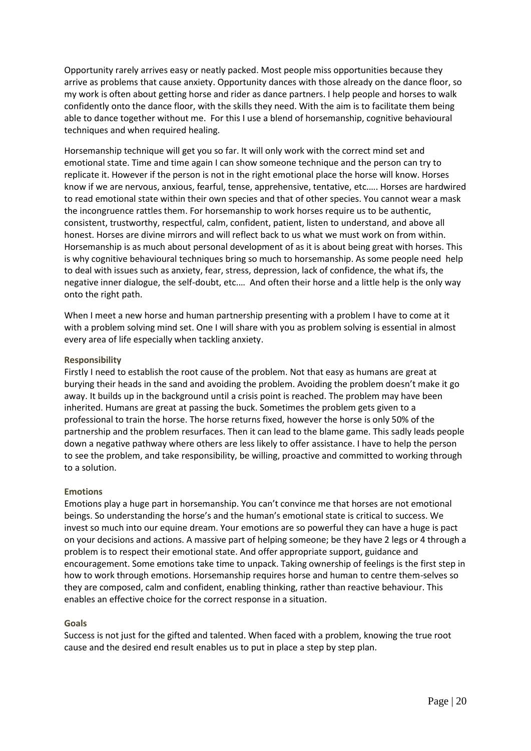Opportunity rarely arrives easy or neatly packed. Most people miss opportunities because they arrive as problems that cause anxiety. Opportunity dances with those already on the dance floor, so my work is often about getting horse and rider as dance partners. I help people and horses to walk confidently onto the dance floor, with the skills they need. With the aim is to facilitate them being able to dance together without me. For this I use a blend of horsemanship, cognitive behavioural techniques and when required healing.

Horsemanship technique will get you so far. It will only work with the correct mind set and emotional state. Time and time again I can show someone technique and the person can try to replicate it. However if the person is not in the right emotional place the horse will know. Horses know if we are nervous, anxious, fearful, tense, apprehensive, tentative, etc.…. Horses are hardwired to read emotional state within their own species and that of other species. You cannot wear a mask the incongruence rattles them. For horsemanship to work horses require us to be authentic, consistent, trustworthy, respectful, calm, confident, patient, listen to understand, and above all honest. Horses are divine mirrors and will reflect back to us what we must work on from within. Horsemanship is as much about personal development of as it is about being great with horses. This is why cognitive behavioural techniques bring so much to horsemanship. As some people need help to deal with issues such as anxiety, fear, stress, depression, lack of confidence, the what ifs, the negative inner dialogue, the self-doubt, etc.… And often their horse and a little help is the only way onto the right path.

When I meet a new horse and human partnership presenting with a problem I have to come at it with a problem solving mind set. One I will share with you as problem solving is essential in almost every area of life especially when tackling anxiety.

#### **Responsibility**

Firstly I need to establish the root cause of the problem. Not that easy as humans are great at burying their heads in the sand and avoiding the problem. Avoiding the problem doesn't make it go away. It builds up in the background until a crisis point is reached. The problem may have been inherited. Humans are great at passing the buck. Sometimes the problem gets given to a professional to train the horse. The horse returns fixed, however the horse is only 50% of the partnership and the problem resurfaces. Then it can lead to the blame game. This sadly leads people down a negative pathway where others are less likely to offer assistance. I have to help the person to see the problem, and take responsibility, be willing, proactive and committed to working through to a solution.

#### **Emotions**

Emotions play a huge part in horsemanship. You can't convince me that horses are not emotional beings. So understanding the horse's and the human's emotional state is critical to success. We invest so much into our equine dream. Your emotions are so powerful they can have a huge is pact on your decisions and actions. A massive part of helping someone; be they have 2 legs or 4 through a problem is to respect their emotional state. And offer appropriate support, guidance and encouragement. Some emotions take time to unpack. Taking ownership of feelings is the first step in how to work through emotions. Horsemanship requires horse and human to centre them-selves so they are composed, calm and confident, enabling thinking, rather than reactive behaviour. This enables an effective choice for the correct response in a situation.

#### **Goals**

Success is not just for the gifted and talented. When faced with a problem, knowing the true root cause and the desired end result enables us to put in place a step by step plan.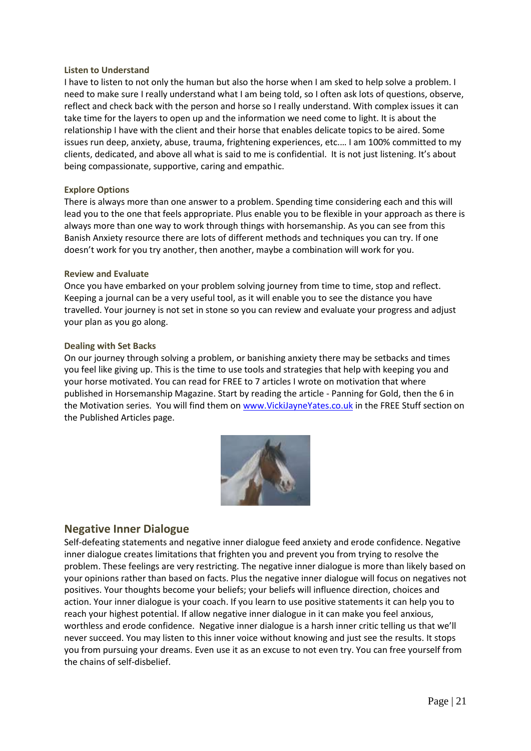#### **Listen to Understand**

I have to listen to not only the human but also the horse when I am sked to help solve a problem. I need to make sure I really understand what I am being told, so I often ask lots of questions, observe, reflect and check back with the person and horse so I really understand. With complex issues it can take time for the layers to open up and the information we need come to light. It is about the relationship I have with the client and their horse that enables delicate topics to be aired. Some issues run deep, anxiety, abuse, trauma, frightening experiences, etc.… I am 100% committed to my clients, dedicated, and above all what is said to me is confidential. It is not just listening. It's about being compassionate, supportive, caring and empathic.

#### **Explore Options**

There is always more than one answer to a problem. Spending time considering each and this will lead you to the one that feels appropriate. Plus enable you to be flexible in your approach as there is always more than one way to work through things with horsemanship. As you can see from this Banish Anxiety resource there are lots of different methods and techniques you can try. If one doesn't work for you try another, then another, maybe a combination will work for you.

#### **Review and Evaluate**

Once you have embarked on your problem solving journey from time to time, stop and reflect. Keeping a journal can be a very useful tool, as it will enable you to see the distance you have travelled. Your journey is not set in stone so you can review and evaluate your progress and adjust your plan as you go along.

#### **Dealing with Set Backs**

On our journey through solving a problem, or banishing anxiety there may be setbacks and times you feel like giving up. This is the time to use tools and strategies that help with keeping you and your horse motivated. You can read for FREE to 7 articles I wrote on motivation that where published in Horsemanship Magazine. Start by reading the article - Panning for Gold, then the 6 in the Motivation series. You will find them o[n www.VickiJayneYates.co.uk](http://www.vickijayneyates.co.uk/) in the FREE Stuff section on the Published Articles page.



### **Negative Inner Dialogue**

Self-defeating statements and negative inner dialogue feed anxiety and erode confidence. Negative inner dialogue creates limitations that frighten you and prevent you from trying to resolve the problem. These feelings are very restricting. The negative inner dialogue is more than likely based on your opinions rather than based on facts. Plus the negative inner dialogue will focus on negatives not positives. Your thoughts become your beliefs; your beliefs will influence direction, choices and action. Your inner dialogue is your coach. If you learn to use positive statements it can help you to reach your highest potential. If allow negative inner dialogue in it can make you feel anxious, worthless and erode confidence. Negative inner dialogue is a harsh inner critic telling us that we'll never succeed. You may listen to this inner voice without knowing and just see the results. It stops you from pursuing your dreams. Even use it as an excuse to not even try. You can free yourself from the chains of self-disbelief.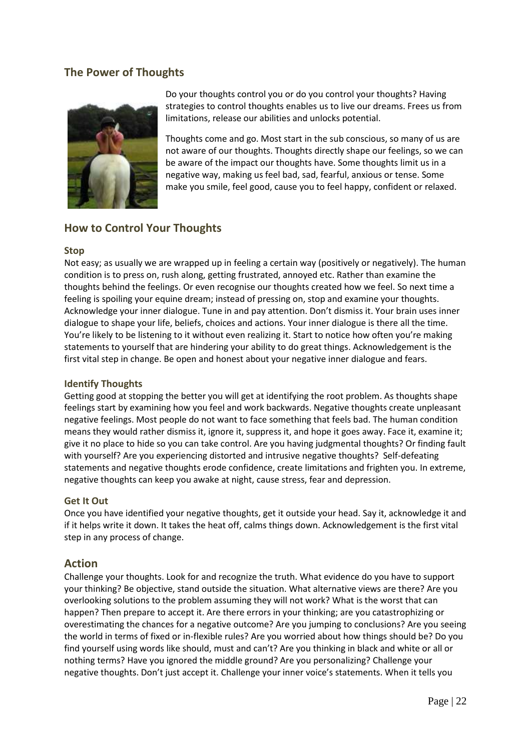# **The Power of Thoughts**



Do your thoughts control you or do you control your thoughts? Having strategies to control thoughts enables us to live our dreams. Frees us from limitations, release our abilities and unlocks potential.

Thoughts come and go. Most start in the sub conscious, so many of us are not aware of our thoughts. Thoughts directly shape our feelings, so we can be aware of the impact our thoughts have. Some thoughts limit us in a negative way, making us feel bad, sad, fearful, anxious or tense. Some make you smile, feel good, cause you to feel happy, confident or relaxed.

# **How to Control Your Thoughts**

#### **Stop**

Not easy; as usually we are wrapped up in feeling a certain way (positively or negatively). The human condition is to press on, rush along, getting frustrated, annoyed etc. Rather than examine the thoughts behind the feelings. Or even recognise our thoughts created how we feel. So next time a feeling is spoiling your equine dream; instead of pressing on, stop and examine your thoughts. Acknowledge your inner dialogue. Tune in and pay attention. Don't dismiss it. Your brain uses inner dialogue to shape your life, beliefs, choices and actions. Your inner dialogue is there all the time. You're likely to be listening to it without even realizing it. Start to notice how often you're making statements to yourself that are hindering your ability to do great things. Acknowledgement is the first vital step in change. Be open and honest about your negative inner dialogue and fears.

### **Identify Thoughts**

Getting good at stopping the better you will get at identifying the root problem. As thoughts shape feelings start by examining how you feel and work backwards. Negative thoughts create unpleasant negative feelings. Most people do not want to face something that feels bad. The human condition means they would rather dismiss it, ignore it, suppress it, and hope it goes away. Face it, examine it; give it no place to hide so you can take control. Are you having judgmental thoughts? Or finding fault with yourself? Are you experiencing distorted and intrusive negative thoughts? Self-defeating statements and negative thoughts erode confidence, create limitations and frighten you. In extreme, negative thoughts can keep you awake at night, cause stress, fear and depression.

#### **Get It Out**

Once you have identified your negative thoughts, get it outside your head. Say it, acknowledge it and if it helps write it down. It takes the heat off, calms things down. Acknowledgement is the first vital step in any process of change.

### **Action**

Challenge your thoughts. Look for and recognize the truth. What evidence do you have to support your thinking? Be objective, stand outside the situation. What alternative views are there? Are you overlooking solutions to the problem assuming they will not work? What is the worst that can happen? Then prepare to accept it. Are there errors in your thinking; are you catastrophizing or overestimating the chances for a negative outcome? Are you jumping to conclusions? Are you seeing the world in terms of fixed or in-flexible rules? Are you worried about how things should be? Do you find yourself using words like should, must and can't? Are you thinking in black and white or all or nothing terms? Have you ignored the middle ground? Are you personalizing? Challenge your negative thoughts. Don't just accept it. Challenge your inner voice's statements. When it tells you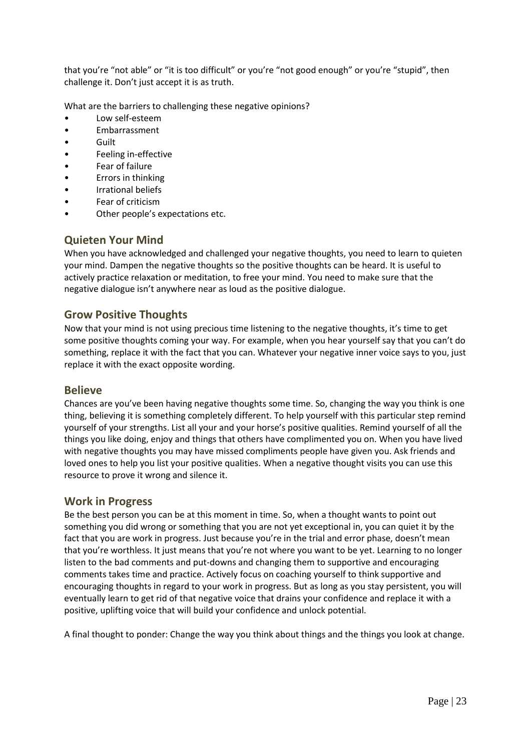that you're "not able" or "it is too difficult" or you're "not good enough" or you're "stupid", then challenge it. Don't just accept it is as truth.

What are the barriers to challenging these negative opinions?

- Low self-esteem
- **Embarrassment**
- Guilt
- Feeling in-effective
- Fear of failure
- Errors in thinking
- Irrational beliefs
- Fear of criticism
- Other people's expectations etc.

### **Quieten Your Mind**

When you have acknowledged and challenged your negative thoughts, you need to learn to quieten your mind. Dampen the negative thoughts so the positive thoughts can be heard. It is useful to actively practice relaxation or meditation, to free your mind. You need to make sure that the negative dialogue isn't anywhere near as loud as the positive dialogue.

### **Grow Positive Thoughts**

Now that your mind is not using precious time listening to the negative thoughts, it's time to get some positive thoughts coming your way. For example, when you hear yourself say that you can't do something, replace it with the fact that you can. Whatever your negative inner voice says to you, just replace it with the exact opposite wording.

### **Believe**

Chances are you've been having negative thoughts some time. So, changing the way you think is one thing, believing it is something completely different. To help yourself with this particular step remind yourself of your strengths. List all your and your horse's positive qualities. Remind yourself of all the things you like doing, enjoy and things that others have complimented you on. When you have lived with negative thoughts you may have missed compliments people have given you. Ask friends and loved ones to help you list your positive qualities. When a negative thought visits you can use this resource to prove it wrong and silence it.

### **Work in Progress**

Be the best person you can be at this moment in time. So, when a thought wants to point out something you did wrong or something that you are not yet exceptional in, you can quiet it by the fact that you are work in progress. Just because you're in the trial and error phase, doesn't mean that you're worthless. It just means that you're not where you want to be yet. Learning to no longer listen to the bad comments and put-downs and changing them to supportive and encouraging comments takes time and practice. Actively focus on coaching yourself to think supportive and encouraging thoughts in regard to your work in progress. But as long as you stay persistent, you will eventually learn to get rid of that negative voice that drains your confidence and replace it with a positive, uplifting voice that will build your confidence and unlock potential.

A final thought to ponder: Change the way you think about things and the things you look at change.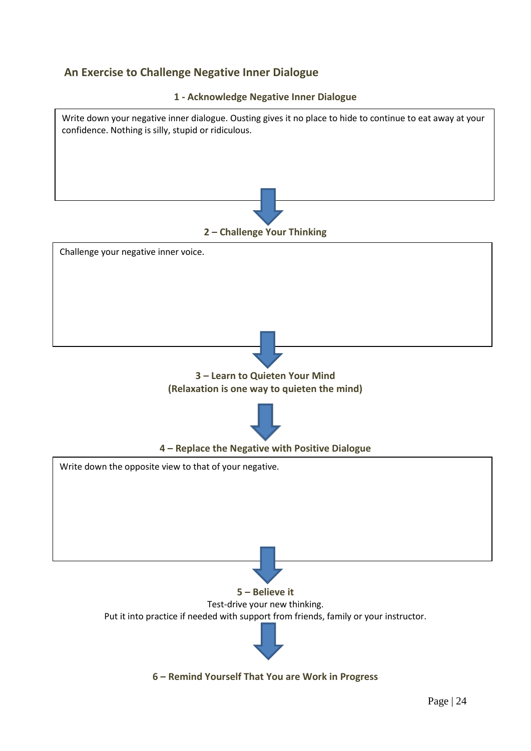# **An Exercise to Challenge Negative Inner Dialogue**



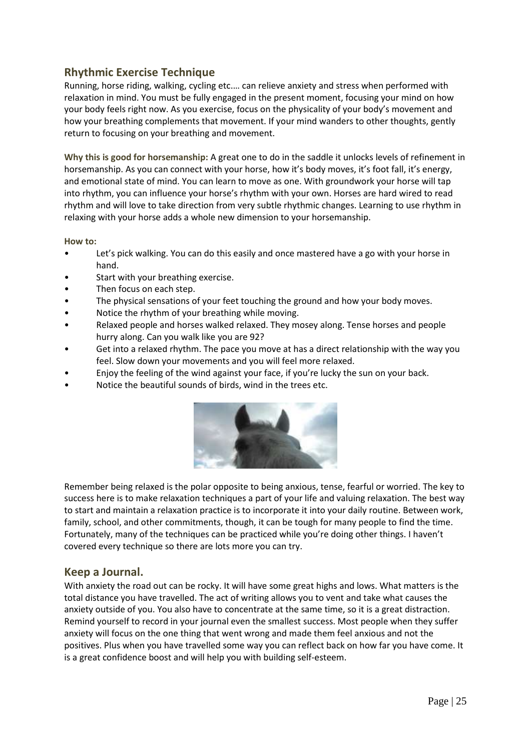# **Rhythmic Exercise Technique**

Running, horse riding, walking, cycling etc.… can relieve anxiety and stress when performed with relaxation in mind. You must be fully engaged in the present moment, focusing your mind on how your body feels right now. As you exercise, focus on the physicality of your body's movement and how your breathing complements that movement. If your mind wanders to other thoughts, gently return to focusing on your breathing and movement.

**Why this is good for horsemanship:** A great one to do in the saddle it unlocks levels of refinement in horsemanship. As you can connect with your horse, how it's body moves, it's foot fall, it's energy, and emotional state of mind. You can learn to move as one. With groundwork your horse will tap into rhythm, you can influence your horse's rhythm with your own. Horses are hard wired to read rhythm and will love to take direction from very subtle rhythmic changes. Learning to use rhythm in relaxing with your horse adds a whole new dimension to your horsemanship.

#### **How to:**

- Let's pick walking. You can do this easily and once mastered have a go with your horse in hand.
- Start with your breathing exercise.
- Then focus on each step.
- The physical sensations of your feet touching the ground and how your body moves.
- Notice the rhythm of your breathing while moving.
- Relaxed people and horses walked relaxed. They mosey along. Tense horses and people hurry along. Can you walk like you are 92?
- Get into a relaxed rhythm. The pace you move at has a direct relationship with the way you feel. Slow down your movements and you will feel more relaxed.
- Enjoy the feeling of the wind against your face, if you're lucky the sun on your back.
- Notice the beautiful sounds of birds, wind in the trees etc.



Remember being relaxed is the polar opposite to being anxious, tense, fearful or worried. The key to success here is to make relaxation techniques a part of your life and valuing relaxation. The best way to start and maintain a relaxation practice is to incorporate it into your daily routine. Between work, family, school, and other commitments, though, it can be tough for many people to find the time. Fortunately, many of the techniques can be practiced while you're doing other things. I haven't covered every technique so there are lots more you can try.

### **Keep a Journal.**

With anxiety the road out can be rocky. It will have some great highs and lows. What matters is the total distance you have travelled. The act of writing allows you to vent and take what causes the anxiety outside of you. You also have to concentrate at the same time, so it is a great distraction. Remind yourself to record in your journal even the smallest success. Most people when they suffer anxiety will focus on the one thing that went wrong and made them feel anxious and not the positives. Plus when you have travelled some way you can reflect back on how far you have come. It is a great confidence boost and will help you with building self-esteem.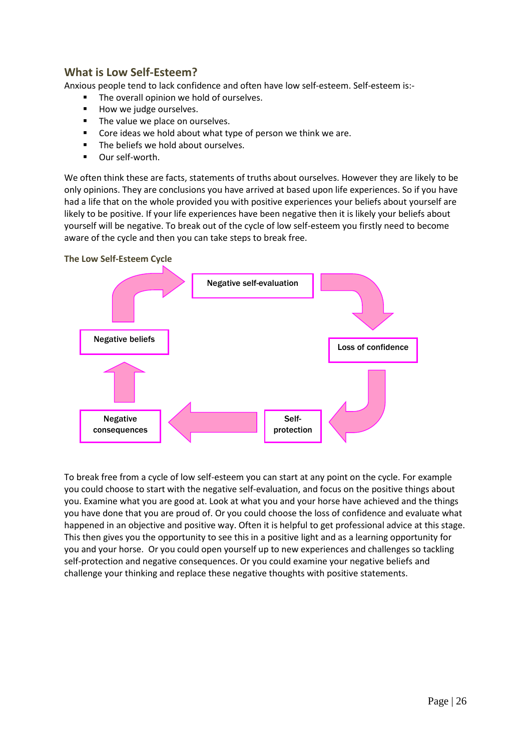# **What is Low Self-Esteem?**

Anxious people tend to lack confidence and often have low self-esteem. Self-esteem is:-

- The overall opinion we hold of ourselves.
- How we judge ourselves.
- The value we place on ourselves.
- Core ideas we hold about what type of person we think we are.
- The beliefs we hold about ourselves.
- Our self-worth.

We often think these are facts, statements of truths about ourselves. However they are likely to be only opinions. They are conclusions you have arrived at based upon life experiences. So if you have had a life that on the whole provided you with positive experiences your beliefs about yourself are likely to be positive. If your life experiences have been negative then it is likely your beliefs about yourself will be negative. To break out of the cycle of low self-esteem you firstly need to become aware of the cycle and then you can take steps to break free.



To break free from a cycle of low self-esteem you can start at any point on the cycle. For example you could choose to start with the negative self-evaluation, and focus on the positive things about you. Examine what you are good at. Look at what you and your horse have achieved and the things you have done that you are proud of. Or you could choose the loss of confidence and evaluate what happened in an objective and positive way. Often it is helpful to get professional advice at this stage. This then gives you the opportunity to see this in a positive light and as a learning opportunity for you and your horse. Or you could open yourself up to new experiences and challenges so tackling self-protection and negative consequences. Or you could examine your negative beliefs and challenge your thinking and replace these negative thoughts with positive statements.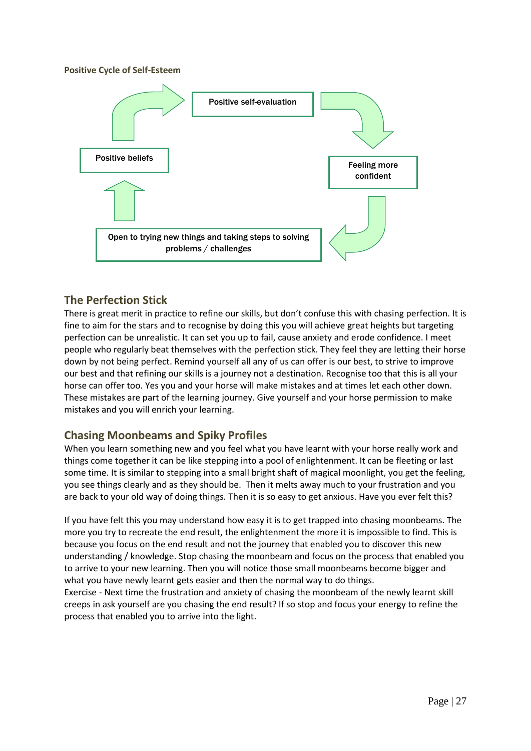#### **Positive Cycle of Self-Esteem**



## **The Perfection Stick**

There is great merit in practice to refine our skills, but don't confuse this with chasing perfection. It is fine to aim for the stars and to recognise by doing this you will achieve great heights but targeting perfection can be unrealistic. It can set you up to fail, cause anxiety and erode confidence. I meet people who regularly beat themselves with the perfection stick. They feel they are letting their horse down by not being perfect. Remind yourself all any of us can offer is our best, to strive to improve our best and that refining our skills is a journey not a destination. Recognise too that this is all your horse can offer too. Yes you and your horse will make mistakes and at times let each other down. These mistakes are part of the learning journey. Give yourself and your horse permission to make mistakes and you will enrich your learning.

# **Chasing Moonbeams and Spiky Profiles**

When you learn something new and you feel what you have learnt with your horse really work and things come together it can be like stepping into a pool of enlightenment. It can be fleeting or last some time. It is similar to stepping into a small bright shaft of magical moonlight, you get the feeling, you see things clearly and as they should be. Then it melts away much to your frustration and you are back to your old way of doing things. Then it is so easy to get anxious. Have you ever felt this?

If you have felt this you may understand how easy it is to get trapped into chasing moonbeams. The more you try to recreate the end result, the enlightenment the more it is impossible to find. This is because you focus on the end result and not the journey that enabled you to discover this new understanding / knowledge. Stop chasing the moonbeam and focus on the process that enabled you to arrive to your new learning. Then you will notice those small moonbeams become bigger and what you have newly learnt gets easier and then the normal way to do things.

Exercise - Next time the frustration and anxiety of chasing the moonbeam of the newly learnt skill creeps in ask yourself are you chasing the end result? If so stop and focus your energy to refine the process that enabled you to arrive into the light.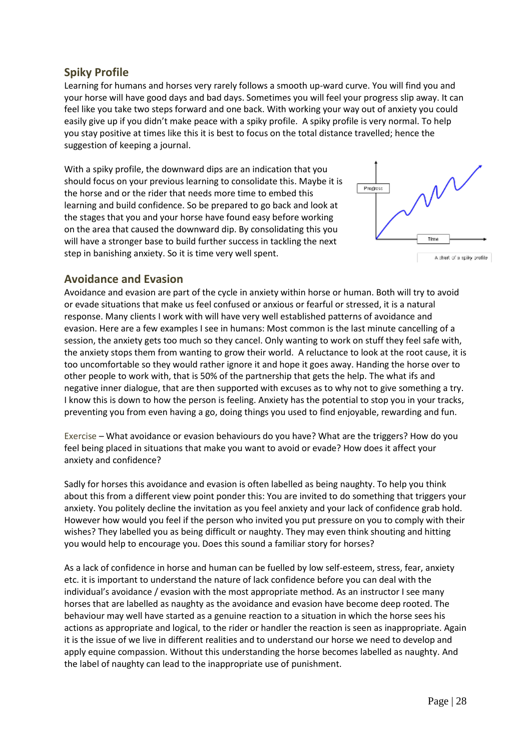# **Spiky Profile**

Learning for humans and horses very rarely follows a smooth up-ward curve. You will find you and your horse will have good days and bad days. Sometimes you will feel your progress slip away. It can feel like you take two steps forward and one back. With working your way out of anxiety you could easily give up if you didn't make peace with a spiky profile. A spiky profile is very normal. To help you stay positive at times like this it is best to focus on the total distance travelled; hence the suggestion of keeping a journal.

With a spiky profile, the downward dips are an indication that you should focus on your previous learning to consolidate this. Maybe it is the horse and or the rider that needs more time to embed this learning and build confidence. So be prepared to go back and look at the stages that you and your horse have found easy before working on the area that caused the downward dip. By consolidating this you will have a stronger base to build further success in tackling the next step in banishing anxiety. So it is time very well spent.



A chart of a spiky profile

### **Avoidance and Evasion**

Avoidance and evasion are part of the cycle in anxiety within horse or human. Both will try to avoid or evade situations that make us feel confused or anxious or fearful or stressed, it is a natural response. Many clients I work with will have very well established patterns of avoidance and evasion. Here are a few examples I see in humans: Most common is the last minute cancelling of a session, the anxiety gets too much so they cancel. Only wanting to work on stuff they feel safe with, the anxiety stops them from wanting to grow their world. A reluctance to look at the root cause, it is too uncomfortable so they would rather ignore it and hope it goes away. Handing the horse over to other people to work with, that is 50% of the partnership that gets the help. The what ifs and negative inner dialogue, that are then supported with excuses as to why not to give something a try. I know this is down to how the person is feeling. Anxiety has the potential to stop you in your tracks, preventing you from even having a go, doing things you used to find enjoyable, rewarding and fun.

Exercise – What avoidance or evasion behaviours do you have? What are the triggers? How do you feel being placed in situations that make you want to avoid or evade? How does it affect your anxiety and confidence?

Sadly for horses this avoidance and evasion is often labelled as being naughty. To help you think about this from a different view point ponder this: You are invited to do something that triggers your anxiety. You politely decline the invitation as you feel anxiety and your lack of confidence grab hold. However how would you feel if the person who invited you put pressure on you to comply with their wishes? They labelled you as being difficult or naughty. They may even think shouting and hitting you would help to encourage you. Does this sound a familiar story for horses?

As a lack of confidence in horse and human can be fuelled by low self-esteem, stress, fear, anxiety etc. it is important to understand the nature of lack confidence before you can deal with the individual's avoidance / evasion with the most appropriate method. As an instructor I see many horses that are labelled as naughty as the avoidance and evasion have become deep rooted. The behaviour may well have started as a genuine reaction to a situation in which the horse sees his actions as appropriate and logical, to the rider or handler the reaction is seen as inappropriate. Again it is the issue of we live in different realities and to understand our horse we need to develop and apply equine compassion. Without this understanding the horse becomes labelled as naughty. And the label of naughty can lead to the inappropriate use of punishment.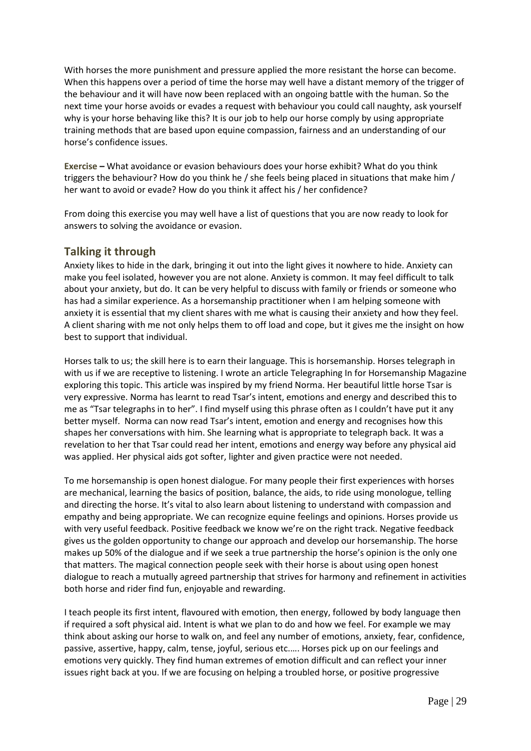With horses the more punishment and pressure applied the more resistant the horse can become. When this happens over a period of time the horse may well have a distant memory of the trigger of the behaviour and it will have now been replaced with an ongoing battle with the human. So the next time your horse avoids or evades a request with behaviour you could call naughty, ask yourself why is your horse behaving like this? It is our job to help our horse comply by using appropriate training methods that are based upon equine compassion, fairness and an understanding of our horse's confidence issues.

**Exercise –** What avoidance or evasion behaviours does your horse exhibit? What do you think triggers the behaviour? How do you think he / she feels being placed in situations that make him / her want to avoid or evade? How do you think it affect his / her confidence?

From doing this exercise you may well have a list of questions that you are now ready to look for answers to solving the avoidance or evasion.

### **Talking it through**

Anxiety likes to hide in the dark, bringing it out into the light gives it nowhere to hide. Anxiety can make you feel isolated, however you are not alone. Anxiety is common. It may feel difficult to talk about your anxiety, but do. It can be very helpful to discuss with family or friends or someone who has had a similar experience. As a horsemanship practitioner when I am helping someone with anxiety it is essential that my client shares with me what is causing their anxiety and how they feel. A client sharing with me not only helps them to off load and cope, but it gives me the insight on how best to support that individual.

Horses talk to us; the skill here is to earn their language. This is horsemanship. Horses telegraph in with us if we are receptive to listening. I wrote an article Telegraphing In for Horsemanship Magazine exploring this topic. This article was inspired by my friend Norma. Her beautiful little horse Tsar is very expressive. Norma has learnt to read Tsar's intent, emotions and energy and described this to me as "Tsar telegraphs in to her". I find myself using this phrase often as I couldn't have put it any better myself. Norma can now read Tsar's intent, emotion and energy and recognises how this shapes her conversations with him. She learning what is appropriate to telegraph back. It was a revelation to her that Tsar could read her intent, emotions and energy way before any physical aid was applied. Her physical aids got softer, lighter and given practice were not needed.

To me horsemanship is open honest dialogue. For many people their first experiences with horses are mechanical, learning the basics of position, balance, the aids, to ride using monologue, telling and directing the horse. It's vital to also learn about listening to understand with compassion and empathy and being appropriate. We can recognize equine feelings and opinions. Horses provide us with very useful feedback. Positive feedback we know we're on the right track. Negative feedback gives us the golden opportunity to change our approach and develop our horsemanship. The horse makes up 50% of the dialogue and if we seek a true partnership the horse's opinion is the only one that matters. The magical connection people seek with their horse is about using open honest dialogue to reach a mutually agreed partnership that strives for harmony and refinement in activities both horse and rider find fun, enjoyable and rewarding.

I teach people its first intent, flavoured with emotion, then energy, followed by body language then if required a soft physical aid. Intent is what we plan to do and how we feel. For example we may think about asking our horse to walk on, and feel any number of emotions, anxiety, fear, confidence, passive, assertive, happy, calm, tense, joyful, serious etc.…. Horses pick up on our feelings and emotions very quickly. They find human extremes of emotion difficult and can reflect your inner issues right back at you. If we are focusing on helping a troubled horse, or positive progressive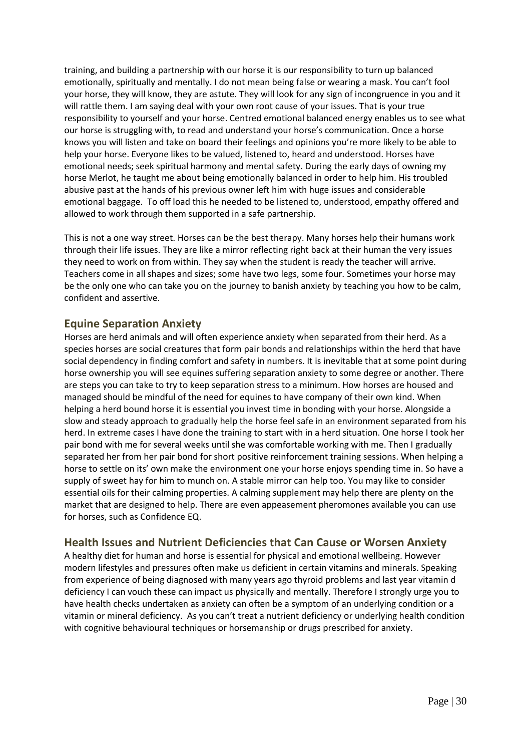training, and building a partnership with our horse it is our responsibility to turn up balanced emotionally, spiritually and mentally. I do not mean being false or wearing a mask. You can't fool your horse, they will know, they are astute. They will look for any sign of incongruence in you and it will rattle them. I am saying deal with your own root cause of your issues. That is your true responsibility to yourself and your horse. Centred emotional balanced energy enables us to see what our horse is struggling with, to read and understand your horse's communication. Once a horse knows you will listen and take on board their feelings and opinions you're more likely to be able to help your horse. Everyone likes to be valued, listened to, heard and understood. Horses have emotional needs; seek spiritual harmony and mental safety. During the early days of owning my horse Merlot, he taught me about being emotionally balanced in order to help him. His troubled abusive past at the hands of his previous owner left him with huge issues and considerable emotional baggage. To off load this he needed to be listened to, understood, empathy offered and allowed to work through them supported in a safe partnership.

This is not a one way street. Horses can be the best therapy. Many horses help their humans work through their life issues. They are like a mirror reflecting right back at their human the very issues they need to work on from within. They say when the student is ready the teacher will arrive. Teachers come in all shapes and sizes; some have two legs, some four. Sometimes your horse may be the only one who can take you on the journey to banish anxiety by teaching you how to be calm, confident and assertive.

## **Equine Separation Anxiety**

Horses are herd animals and will often experience anxiety when separated from their herd. As a species horses are social creatures that form pair bonds and relationships within the herd that have social dependency in finding comfort and safety in numbers. It is inevitable that at some point during horse ownership you will see equines suffering separation anxiety to some degree or another. There are steps you can take to try to keep separation stress to a minimum. How horses are housed and managed should be mindful of the need for equines to have company of their own kind. When helping a herd bound horse it is essential you invest time in bonding with your horse. Alongside a slow and steady approach to gradually help the horse feel safe in an environment separated from his herd. In extreme cases I have done the training to start with in a herd situation. One horse I took her pair bond with me for several weeks until she was comfortable working with me. Then I gradually separated her from her pair bond for short positive reinforcement training sessions. When helping a horse to settle on its' own make the environment one your horse enjoys spending time in. So have a supply of sweet hay for him to munch on. A stable mirror can help too. You may like to consider essential oils for their calming properties. A calming supplement may help there are plenty on the market that are designed to help. There are even appeasement pheromones available you can use for horses, such as Confidence EQ.

# **Health Issues and Nutrient Deficiencies that Can Cause or Worsen Anxiety**

A healthy diet for human and horse is essential for physical and emotional wellbeing. However modern lifestyles and pressures often make us deficient in certain vitamins and minerals. Speaking from experience of being diagnosed with many years ago thyroid problems and last year vitamin d deficiency I can vouch these can impact us physically and mentally. Therefore I strongly urge you to have health checks undertaken as anxiety can often be a symptom of an underlying condition or a vitamin or mineral deficiency. As you can't treat a nutrient deficiency or underlying health condition with cognitive behavioural techniques or horsemanship or drugs prescribed for anxiety.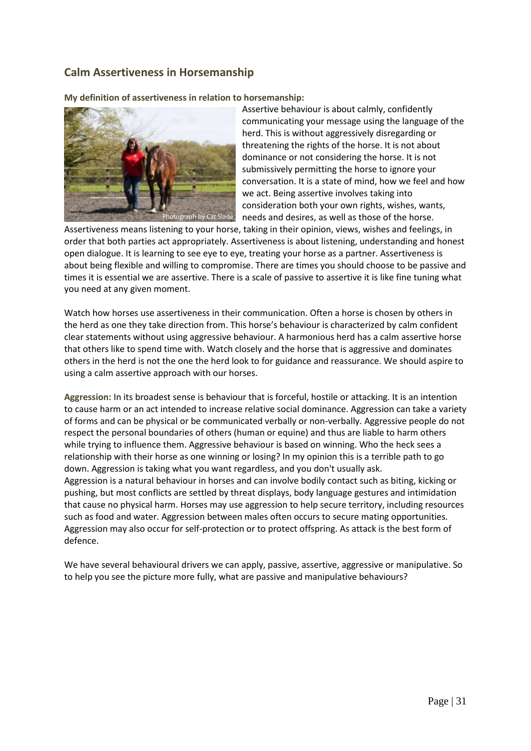# **Calm Assertiveness in Horsemanship**

**My definition of assertiveness in relation to horsemanship:** 



Assertive behaviour is about calmly, confidently communicating your message using the language of the herd. This is without aggressively disregarding or threatening the rights of the horse. It is not about dominance or not considering the horse. It is not submissively permitting the horse to ignore your conversation. It is a state of mind, how we feel and how we act. Being assertive involves taking into consideration both your own rights, wishes, wants, needs and desires, as well as those of the horse.

Assertiveness means listening to your horse, taking in their opinion, views, wishes and feelings, in order that both parties act appropriately. Assertiveness is about listening, understanding and honest open dialogue. It is learning to see eye to eye, treating your horse as a partner. Assertiveness is about being flexible and willing to compromise. There are times you should choose to be passive and times it is essential we are assertive. There is a scale of passive to assertive it is like fine tuning what you need at any given moment.

Watch how horses use assertiveness in their communication. Often a horse is chosen by others in the herd as one they take direction from. This horse's behaviour is characterized by calm confident clear statements without using aggressive behaviour. A harmonious herd has a calm assertive horse that others like to spend time with. Watch closely and the horse that is aggressive and dominates others in the herd is not the one the herd look to for guidance and reassurance. We should aspire to using a calm assertive approach with our horses.

**Aggression:** In its broadest sense is behaviour that is forceful, hostile or attacking. It is an intention to cause harm or an act intended to increase relative social dominance. Aggression can take a variety of forms and can be physical or be communicated verbally or non-verbally. Aggressive people do not respect the personal boundaries of others (human or equine) and thus are liable to harm others while trying to influence them. Aggressive behaviour is based on winning. Who the heck sees a relationship with their horse as one winning or losing? In my opinion this is a terrible path to go down. Aggression is taking what you want regardless, and you don't usually ask. Aggression is a natural behaviour in horses and can involve bodily contact such as biting, kicking or pushing, but most conflicts are settled by threat displays, body language gestures and intimidation that cause no physical harm. Horses may use aggression to help secure territory, including resources such as food and water. Aggression between males often occurs to secure mating opportunities. Aggression may also occur for self-protection or to protect offspring. As attack is the best form of defence.

We have several behavioural drivers we can apply, passive, assertive, aggressive or manipulative. So to help you see the picture more fully, what are passive and manipulative behaviours?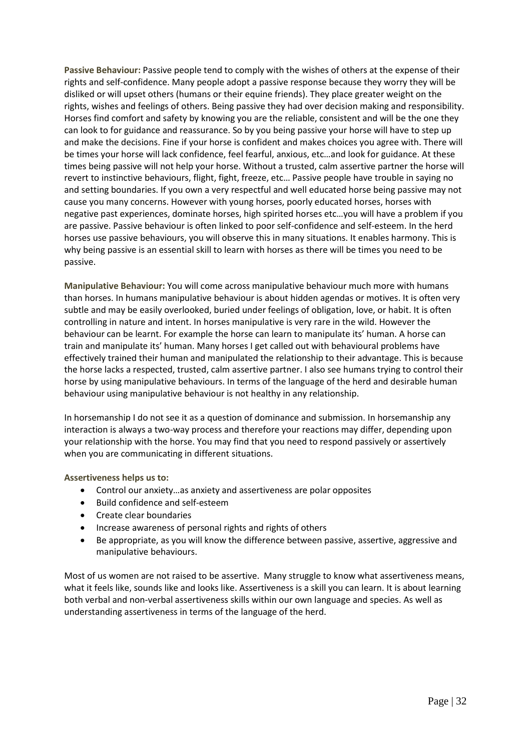**Passive Behaviour:** Passive people tend to comply with the wishes of others at the expense of their rights and self-confidence. Many people adopt a passive response because they worry they will be disliked or will upset others (humans or their equine friends). They place greater weight on the rights, wishes and feelings of others. Being passive they had over decision making and responsibility. Horses find comfort and safety by knowing you are the reliable, consistent and will be the one they can look to for guidance and reassurance. So by you being passive your horse will have to step up and make the decisions. Fine if your horse is confident and makes choices you agree with. There will be times your horse will lack confidence, feel fearful, anxious, etc…and look for guidance. At these times being passive will not help your horse. Without a trusted, calm assertive partner the horse will revert to instinctive behaviours, flight, fight, freeze, etc… Passive people have trouble in saying no and setting boundaries. If you own a very respectful and well educated horse being passive may not cause you many concerns. However with young horses, poorly educated horses, horses with negative past experiences, dominate horses, high spirited horses etc…you will have a problem if you are passive. Passive behaviour is often linked to poor self-confidence and self-esteem. In the herd horses use passive behaviours, you will observe this in many situations. It enables harmony. This is why being passive is an essential skill to learn with horses as there will be times you need to be passive.

**Manipulative Behaviour:** You will come across manipulative behaviour much more with humans than horses. In humans manipulative behaviour is about hidden agendas or motives. It is often very subtle and may be easily overlooked, buried under feelings of obligation, love, or habit. It is often controlling in nature and intent. In horses manipulative is very rare in the wild. However the behaviour can be learnt. For example the horse can learn to manipulate its' human. A horse can train and manipulate its' human. Many horses I get called out with behavioural problems have effectively trained their human and manipulated the relationship to their advantage. This is because the horse lacks a respected, trusted, calm assertive partner. I also see humans trying to control their horse by using manipulative behaviours. In terms of the language of the herd and desirable human behaviour using manipulative behaviour is not healthy in any relationship.

In horsemanship I do not see it as a question of dominance and submission. In horsemanship any interaction is always a two-way process and therefore your reactions may differ, depending upon your relationship with the horse. You may find that you need to respond passively or assertively when you are communicating in different situations.

**Assertiveness helps us to:**

- Control our anxiety…as anxiety and assertiveness are polar opposites
- Build confidence and self-esteem
- Create clear boundaries
- Increase awareness of personal rights and rights of others
- Be appropriate, as you will know the difference between passive, assertive, aggressive and manipulative behaviours.

Most of us women are not raised to be assertive. Many struggle to know what assertiveness means, what it feels like, sounds like and looks like. Assertiveness is a skill you can learn. It is about learning both verbal and non-verbal assertiveness skills within our own language and species. As well as understanding assertiveness in terms of the language of the herd.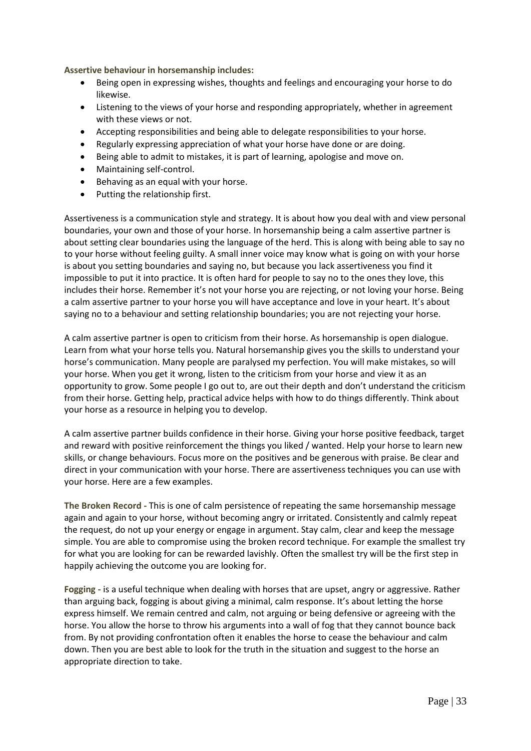**Assertive behaviour in horsemanship includes:**

- Being open in expressing wishes, thoughts and feelings and encouraging your horse to do likewise.
- Listening to the views of your horse and responding appropriately, whether in agreement with these views or not.
- Accepting responsibilities and being able to delegate responsibilities to your horse.
- Regularly expressing appreciation of what your horse have done or are doing.
- Being able to admit to mistakes, it is part of learning, apologise and move on.
- Maintaining self-control.
- Behaving as an equal with your horse.
- Putting the relationship first.

Assertiveness is a communication style and strategy. It is about how you deal with and view personal boundaries, your own and those of your horse. In horsemanship being a calm assertive partner is about setting clear boundaries using the language of the herd. This is along with being able to say no to your horse without feeling guilty. A small inner voice may know what is going on with your horse is about you setting boundaries and saying no, but because you lack assertiveness you find it impossible to put it into practice. It is often hard for people to say no to the ones they love, this includes their horse. Remember it's not your horse you are rejecting, or not loving your horse. Being a calm assertive partner to your horse you will have acceptance and love in your heart. It's about saying no to a behaviour and setting relationship boundaries; you are not rejecting your horse.

A calm assertive partner is open to criticism from their horse. As horsemanship is open dialogue. Learn from what your horse tells you. Natural horsemanship gives you the skills to understand your horse's communication. Many people are paralysed my perfection. You will make mistakes, so will your horse. When you get it wrong, listen to the criticism from your horse and view it as an opportunity to grow. Some people I go out to, are out their depth and don't understand the criticism from their horse. Getting help, practical advice helps with how to do things differently. Think about your horse as a resource in helping you to develop.

A calm assertive partner builds confidence in their horse. Giving your horse positive feedback, target and reward with positive reinforcement the things you liked / wanted. Help your horse to learn new skills, or change behaviours. Focus more on the positives and be generous with praise. Be clear and direct in your communication with your horse. There are assertiveness techniques you can use with your horse. Here are a few examples.

**The Broken Record -** This is one of calm persistence of repeating the same horsemanship message again and again to your horse, without becoming angry or irritated. Consistently and calmly repeat the request, do not up your energy or engage in argument. Stay calm, clear and keep the message simple. You are able to compromise using the broken record technique. For example the smallest try for what you are looking for can be rewarded lavishly. Often the smallest try will be the first step in happily achieving the outcome you are looking for.

**Fogging -** is a useful technique when dealing with horses that are upset, angry or aggressive. Rather than arguing back, fogging is about giving a minimal, calm response. It's about letting the horse express himself. We remain centred and calm, not arguing or being defensive or agreeing with the horse. You allow the horse to throw his arguments into a wall of fog that they cannot bounce back from. By not providing confrontation often it enables the horse to cease the behaviour and calm down. Then you are best able to look for the truth in the situation and suggest to the horse an appropriate direction to take.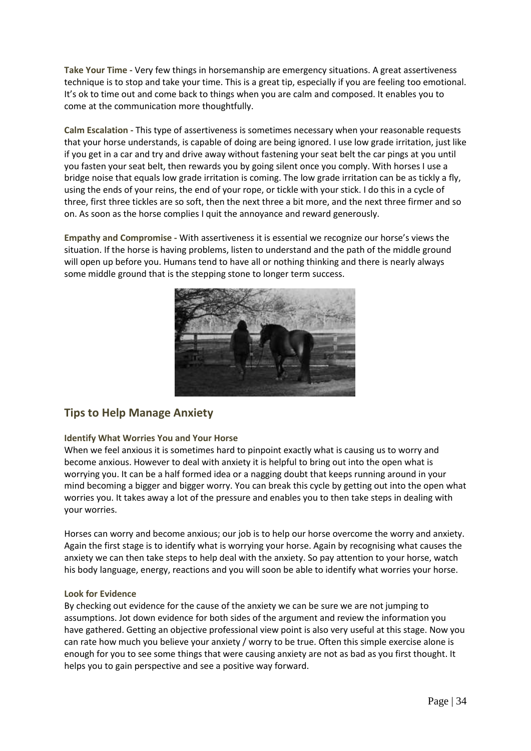**Take Your Time -** Very few things in horsemanship are emergency situations. A great assertiveness technique is to stop and take your time. This is a great tip, especially if you are feeling too emotional. It's ok to time out and come back to things when you are calm and composed. It enables you to come at the communication more thoughtfully.

**Calm Escalation -** This type of assertiveness is sometimes necessary when your reasonable requests that your horse understands, is capable of doing are being ignored. I use low grade irritation, just like if you get in a car and try and drive away without fastening your seat belt the car pings at you until you fasten your seat belt, then rewards you by going silent once you comply. With horses I use a bridge noise that equals low grade irritation is coming. The low grade irritation can be as tickly a fly, using the ends of your reins, the end of your rope, or tickle with your stick. I do this in a cycle of three, first three tickles are so soft, then the next three a bit more, and the next three firmer and so on. As soon as the horse complies I quit the annoyance and reward generously.

**Empathy and Compromise -** With assertiveness it is essential we recognize our horse's views the situation. If the horse is having problems, listen to understand and the path of the middle ground will open up before you. Humans tend to have all or nothing thinking and there is nearly always some middle ground that is the stepping stone to longer term success.



# **Tips to Help Manage Anxiety**

### **Identify What Worries You and Your Horse**

When we feel anxious it is sometimes hard to pinpoint exactly what is causing us to worry and become anxious. However to deal with anxiety it is helpful to bring out into the open what is worrying you. It can be a half formed idea or a nagging doubt that keeps running around in your mind becoming a bigger and bigger worry. You can break this cycle by getting out into the open what worries you. It takes away a lot of the pressure and enables you to then take steps in dealing with your worries.

Horses can worry and become anxious; our job is to help our horse overcome the worry and anxiety. Again the first stage is to identify what is worrying your horse. Again by recognising what causes the anxiety we can then take steps to help deal with the anxiety. So pay attention to your horse, watch his body language, energy, reactions and you will soon be able to identify what worries your horse.

#### **Look for Evidence**

By checking out evidence for the cause of the anxiety we can be sure we are not jumping to assumptions. Jot down evidence for both sides of the argument and review the information you have gathered. Getting an objective professional view point is also very useful at this stage. Now you can rate how much you believe your anxiety / worry to be true. Often this simple exercise alone is enough for you to see some things that were causing anxiety are not as bad as you first thought. It helps you to gain perspective and see a positive way forward.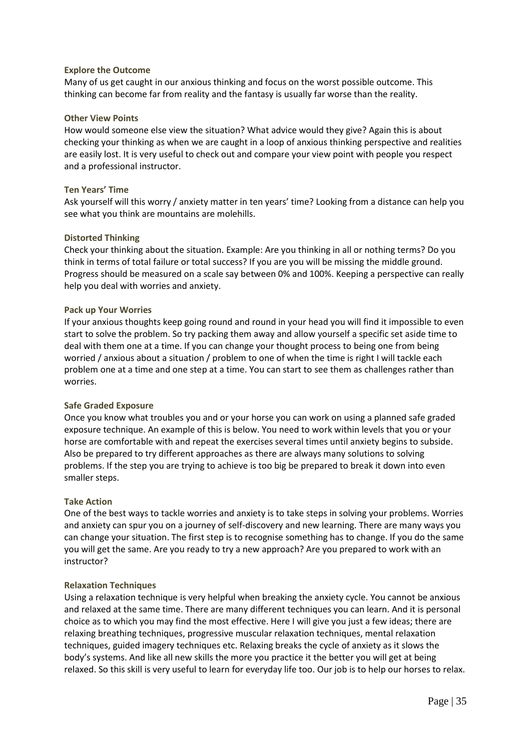#### **Explore the Outcome**

Many of us get caught in our anxious thinking and focus on the worst possible outcome. This thinking can become far from reality and the fantasy is usually far worse than the reality.

#### **Other View Points**

How would someone else view the situation? What advice would they give? Again this is about checking your thinking as when we are caught in a loop of anxious thinking perspective and realities are easily lost. It is very useful to check out and compare your view point with people you respect and a professional instructor.

#### **Ten Years' Time**

Ask yourself will this worry / anxiety matter in ten years' time? Looking from a distance can help you see what you think are mountains are molehills.

#### **Distorted Thinking**

Check your thinking about the situation. Example: Are you thinking in all or nothing terms? Do you think in terms of total failure or total success? If you are you will be missing the middle ground. Progress should be measured on a scale say between 0% and 100%. Keeping a perspective can really help you deal with worries and anxiety.

#### **Pack up Your Worries**

If your anxious thoughts keep going round and round in your head you will find it impossible to even start to solve the problem. So try packing them away and allow yourself a specific set aside time to deal with them one at a time. If you can change your thought process to being one from being worried / anxious about a situation / problem to one of when the time is right I will tackle each problem one at a time and one step at a time. You can start to see them as challenges rather than worries.

#### **Safe Graded Exposure**

Once you know what troubles you and or your horse you can work on using a planned safe graded exposure technique. An example of this is below. You need to work within levels that you or your horse are comfortable with and repeat the exercises several times until anxiety begins to subside. Also be prepared to try different approaches as there are always many solutions to solving problems. If the step you are trying to achieve is too big be prepared to break it down into even smaller steps.

#### **Take Action**

One of the best ways to tackle worries and anxiety is to take steps in solving your problems. Worries and anxiety can spur you on a journey of self-discovery and new learning. There are many ways you can change your situation. The first step is to recognise something has to change. If you do the same you will get the same. Are you ready to try a new approach? Are you prepared to work with an instructor?

#### **Relaxation Techniques**

Using a relaxation technique is very helpful when breaking the anxiety cycle. You cannot be anxious and relaxed at the same time. There are many different techniques you can learn. And it is personal choice as to which you may find the most effective. Here I will give you just a few ideas; there are relaxing breathing techniques, progressive muscular relaxation techniques, mental relaxation techniques, guided imagery techniques etc. Relaxing breaks the cycle of anxiety as it slows the body's systems. And like all new skills the more you practice it the better you will get at being relaxed. So this skill is very useful to learn for everyday life too. Our job is to help our horses to relax.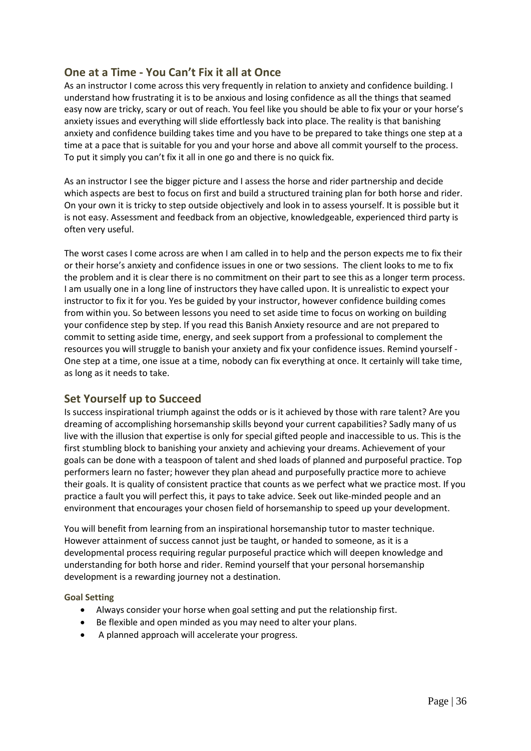# **One at a Time - You Can't Fix it all at Once**

As an instructor I come across this very frequently in relation to anxiety and confidence building. I understand how frustrating it is to be anxious and losing confidence as all the things that seamed easy now are tricky, scary or out of reach. You feel like you should be able to fix your or your horse's anxiety issues and everything will slide effortlessly back into place. The reality is that banishing anxiety and confidence building takes time and you have to be prepared to take things one step at a time at a pace that is suitable for you and your horse and above all commit yourself to the process. To put it simply you can't fix it all in one go and there is no quick fix.

As an instructor I see the bigger picture and I assess the horse and rider partnership and decide which aspects are best to focus on first and build a structured training plan for both horse and rider. On your own it is tricky to step outside objectively and look in to assess yourself. It is possible but it is not easy. Assessment and feedback from an objective, knowledgeable, experienced third party is often very useful.

The worst cases I come across are when I am called in to help and the person expects me to fix their or their horse's anxiety and confidence issues in one or two sessions. The client looks to me to fix the problem and it is clear there is no commitment on their part to see this as a longer term process. I am usually one in a long line of instructors they have called upon. It is unrealistic to expect your instructor to fix it for you. Yes be guided by your instructor, however confidence building comes from within you. So between lessons you need to set aside time to focus on working on building your confidence step by step. If you read this Banish Anxiety resource and are not prepared to commit to setting aside time, energy, and seek support from a professional to complement the resources you will struggle to banish your anxiety and fix your confidence issues. Remind yourself - One step at a time, one issue at a time, nobody can fix everything at once. It certainly will take time, as long as it needs to take.

### **Set Yourself up to Succeed**

Is success inspirational triumph against the odds or is it achieved by those with rare talent? Are you dreaming of accomplishing horsemanship skills beyond your current capabilities? Sadly many of us live with the illusion that expertise is only for special gifted people and inaccessible to us. This is the first stumbling block to banishing your anxiety and achieving your dreams. Achievement of your goals can be done with a teaspoon of talent and shed loads of planned and purposeful practice. Top performers learn no faster; however they plan ahead and purposefully practice more to achieve their goals. It is quality of consistent practice that counts as we perfect what we practice most. If you practice a fault you will perfect this, it pays to take advice. Seek out like-minded people and an environment that encourages your chosen field of horsemanship to speed up your development.

You will benefit from learning from an inspirational horsemanship tutor to master technique. However attainment of success cannot just be taught, or handed to someone, as it is a developmental process requiring regular purposeful practice which will deepen knowledge and understanding for both horse and rider. Remind yourself that your personal horsemanship development is a rewarding journey not a destination.

**Goal Setting**

- Always consider your horse when goal setting and put the relationship first.
- Be flexible and open minded as you may need to alter your plans.
- A planned approach will accelerate your progress.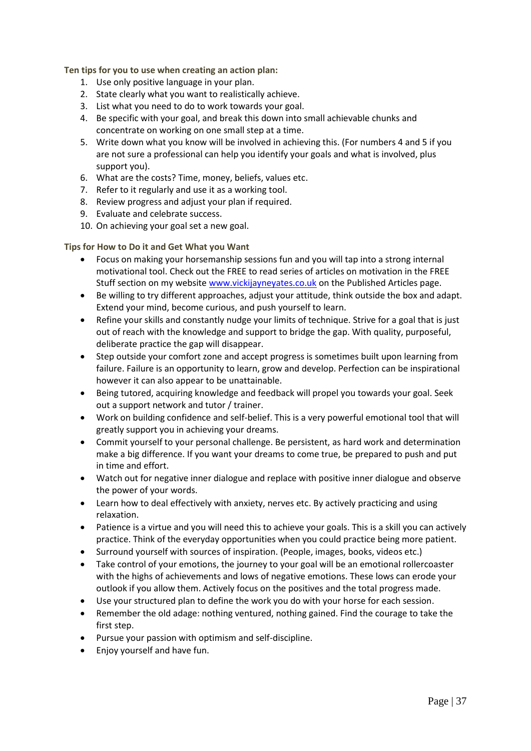**Ten tips for you to use when creating an action plan:** 

- 1. Use only positive language in your plan.
- 2. State clearly what you want to realistically achieve.
- 3. List what you need to do to work towards your goal.
- 4. Be specific with your goal, and break this down into small achievable chunks and concentrate on working on one small step at a time.
- 5. Write down what you know will be involved in achieving this. (For numbers 4 and 5 if you are not sure a professional can help you identify your goals and what is involved, plus support you).
- 6. What are the costs? Time, money, beliefs, values etc.
- 7. Refer to it regularly and use it as a working tool.
- 8. Review progress and adjust your plan if required.
- 9. Evaluate and celebrate success.
- 10. On achieving your goal set a new goal.

#### **Tips for How to Do it and Get What you Want**

- Focus on making your horsemanship sessions fun and you will tap into a strong internal motivational tool. Check out the FREE to read series of articles on motivation in the FREE Stuff section on my website [www.vickijayneyates.co.uk](http://www.vickijayneyates.co.uk/) on the Published Articles page.
- Be willing to try different approaches, adjust your attitude, think outside the box and adapt. Extend your mind, become curious, and push yourself to learn.
- Refine your skills and constantly nudge your limits of technique. Strive for a goal that is just out of reach with the knowledge and support to bridge the gap. With quality, purposeful, deliberate practice the gap will disappear.
- Step outside your comfort zone and accept progress is sometimes built upon learning from failure. Failure is an opportunity to learn, grow and develop. Perfection can be inspirational however it can also appear to be unattainable.
- Being tutored, acquiring knowledge and feedback will propel you towards your goal. Seek out a support network and tutor / trainer.
- Work on building confidence and self-belief. This is a very powerful emotional tool that will greatly support you in achieving your dreams.
- Commit yourself to your personal challenge. Be persistent, as hard work and determination make a big difference. If you want your dreams to come true, be prepared to push and put in time and effort.
- Watch out for negative inner dialogue and replace with positive inner dialogue and observe the power of your words.
- Learn how to deal effectively with anxiety, nerves etc. By actively practicing and using relaxation.
- Patience is a virtue and you will need this to achieve your goals. This is a skill you can actively practice. Think of the everyday opportunities when you could practice being more patient.
- Surround yourself with sources of inspiration. (People, images, books, videos etc.)
- Take control of your emotions, the journey to your goal will be an emotional rollercoaster with the highs of achievements and lows of negative emotions. These lows can erode your outlook if you allow them. Actively focus on the positives and the total progress made.
- Use your structured plan to define the work you do with your horse for each session.
- Remember the old adage: nothing ventured, nothing gained. Find the courage to take the first step.
- Pursue your passion with optimism and self-discipline.
- Enjoy yourself and have fun.